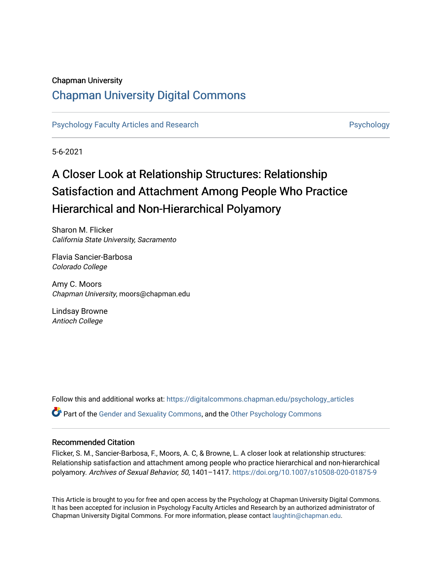#### Chapman University

## [Chapman University Digital Commons](https://digitalcommons.chapman.edu/)

[Psychology Faculty Articles and Research](https://digitalcommons.chapman.edu/psychology_articles) **Provident Contact Article Structure** Psychology

5-6-2021

# A Closer Look at Relationship Structures: Relationship Satisfaction and Attachment Among People Who Practice Hierarchical and Non-Hierarchical Polyamory

Sharon M. Flicker California State University, Sacramento

Flavia Sancier-Barbosa Colorado College

Amy C. Moors Chapman University, moors@chapman.edu

Lindsay Browne Antioch College

Follow this and additional works at: [https://digitalcommons.chapman.edu/psychology\\_articles](https://digitalcommons.chapman.edu/psychology_articles?utm_source=digitalcommons.chapman.edu%2Fpsychology_articles%2F246&utm_medium=PDF&utm_campaign=PDFCoverPages) **Part of the [Gender and Sexuality Commons](http://network.bepress.com/hgg/discipline/420?utm_source=digitalcommons.chapman.edu%2Fpsychology_articles%2F246&utm_medium=PDF&utm_campaign=PDFCoverPages), and the Other Psychology Commons** 

#### Recommended Citation

Flicker, S. M., Sancier-Barbosa, F., Moors, A. C, & Browne, L. A closer look at relationship structures: Relationship satisfaction and attachment among people who practice hierarchical and non-hierarchical polyamory. Archives of Sexual Behavior, 50, 1401–1417.<https://doi.org/10.1007/s10508-020-01875-9>

This Article is brought to you for free and open access by the Psychology at Chapman University Digital Commons. It has been accepted for inclusion in Psychology Faculty Articles and Research by an authorized administrator of Chapman University Digital Commons. For more information, please contact [laughtin@chapman.edu](mailto:laughtin@chapman.edu).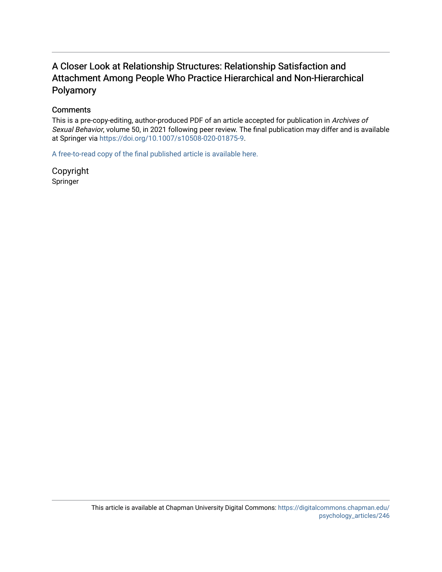## A Closer Look at Relationship Structures: Relationship Satisfaction and Attachment Among People Who Practice Hierarchical and Non-Hierarchical Polyamory

#### **Comments**

This is a pre-copy-editing, author-produced PDF of an article accepted for publication in Archives of Sexual Behavior, volume 50, in 2021 following peer review. The final publication may differ and is available at Springer via <https://doi.org/10.1007/s10508-020-01875-9>.

[A free-to-read copy of the final published article is available here.](https://rdcu.be/ckzvv) 

Copyright Springer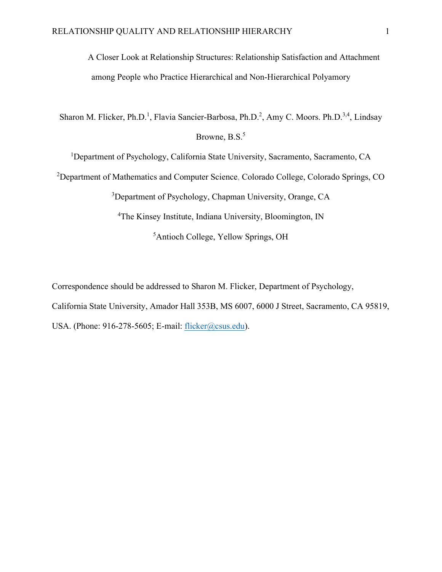A Closer Look at Relationship Structures: Relationship Satisfaction and Attachment among People who Practice Hierarchical and Non-Hierarchical Polyamory

Sharon M. Flicker, Ph.D.<sup>1</sup>, Flavia Sancier-Barbosa, Ph.D.<sup>2</sup>, Amy C. Moors. Ph.D.<sup>3,4</sup>, Lindsay Browne, B.S.<sup>5</sup>

<sup>1</sup>Department of Psychology, California State University, Sacramento, Sacramento, CA

<sup>2</sup>Department of Mathematics and Computer Science, Colorado College, Colorado Springs, CO

<sup>3</sup>Department of Psychology, Chapman University, Orange, CA

<sup>4</sup>The Kinsey Institute, Indiana University, Bloomington, IN

5 Antioch College, Yellow Springs, OH

Correspondence should be addressed to Sharon M. Flicker, Department of Psychology, California State University, Amador Hall 353B, MS 6007, 6000 J Street, Sacramento, CA 95819, USA. (Phone: 916-278-5605; E-mail: [flicker@csus.edu\)](mailto:flicker@csus.edu).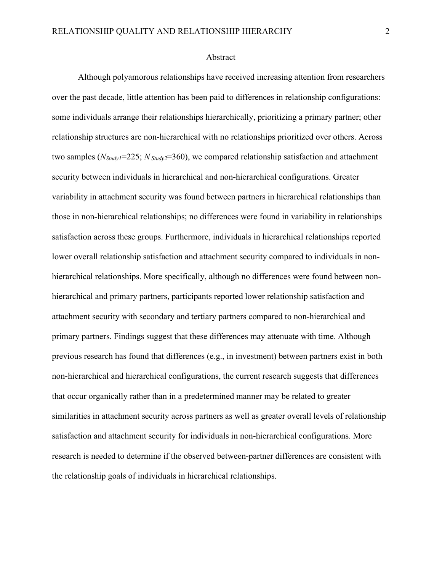#### Abstract

Although polyamorous relationships have received increasing attention from researchers over the past decade, little attention has been paid to differences in relationship configurations: some individuals arrange their relationships hierarchically, prioritizing a primary partner; other relationship structures are non-hierarchical with no relationships prioritized over others. Across two samples ( $N_{Study}$ =225;  $N_{Study}$ =360), we compared relationship satisfaction and attachment security between individuals in hierarchical and non-hierarchical configurations. Greater variability in attachment security was found between partners in hierarchical relationships than those in non-hierarchical relationships; no differences were found in variability in relationships satisfaction across these groups. Furthermore, individuals in hierarchical relationships reported lower overall relationship satisfaction and attachment security compared to individuals in nonhierarchical relationships. More specifically, although no differences were found between nonhierarchical and primary partners, participants reported lower relationship satisfaction and attachment security with secondary and tertiary partners compared to non-hierarchical and primary partners. Findings suggest that these differences may attenuate with time. Although previous research has found that differences (e.g., in investment) between partners exist in both non-hierarchical and hierarchical configurations, the current research suggests that differences that occur organically rather than in a predetermined manner may be related to greater similarities in attachment security across partners as well as greater overall levels of relationship satisfaction and attachment security for individuals in non-hierarchical configurations. More research is needed to determine if the observed between-partner differences are consistent with the relationship goals of individuals in hierarchical relationships.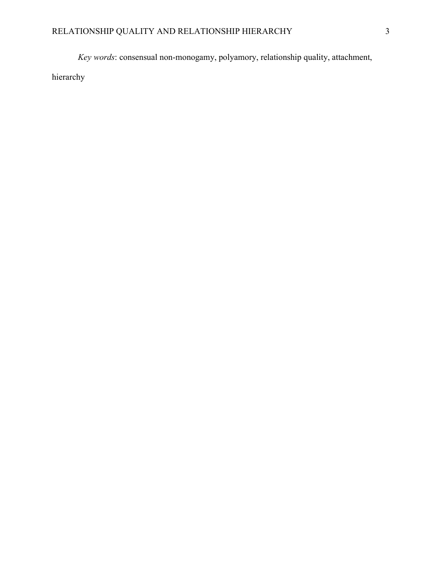*Key words*: consensual non-monogamy, polyamory, relationship quality, attachment,

hierarchy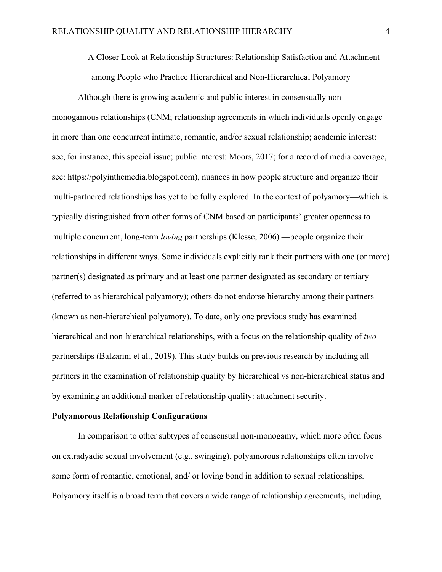A Closer Look at Relationship Structures: Relationship Satisfaction and Attachment among People who Practice Hierarchical and Non-Hierarchical Polyamory

Although there is growing academic and public interest in consensually nonmonogamous relationships (CNM; relationship agreements in which individuals openly engage in more than one concurrent intimate, romantic, and/or sexual relationship; academic interest: see, for instance, this special issue; public interest: Moors, 2017; for a record of media coverage, see: https://polyinthemedia.blogspot.com), nuances in how people structure and organize their multi-partnered relationships has yet to be fully explored. In the context of polyamory—which is typically distinguished from other forms of CNM based on participants' greater openness to multiple concurrent, long-term *loving* partnerships (Klesse, 2006) —people organize their relationships in different ways. Some individuals explicitly rank their partners with one (or more) partner(s) designated as primary and at least one partner designated as secondary or tertiary (referred to as hierarchical polyamory); others do not endorse hierarchy among their partners (known as non-hierarchical polyamory). To date, only one previous study has examined hierarchical and non-hierarchical relationships, with a focus on the relationship quality of *two* partnerships (Balzarini et al., 2019). This study builds on previous research by including all partners in the examination of relationship quality by hierarchical vs non-hierarchical status and by examining an additional marker of relationship quality: attachment security.

#### **Polyamorous Relationship Configurations**

In comparison to other subtypes of consensual non-monogamy, which more often focus on extradyadic sexual involvement (e.g., swinging), polyamorous relationships often involve some form of romantic, emotional, and/ or loving bond in addition to sexual relationships. Polyamory itself is a broad term that covers a wide range of relationship agreements, including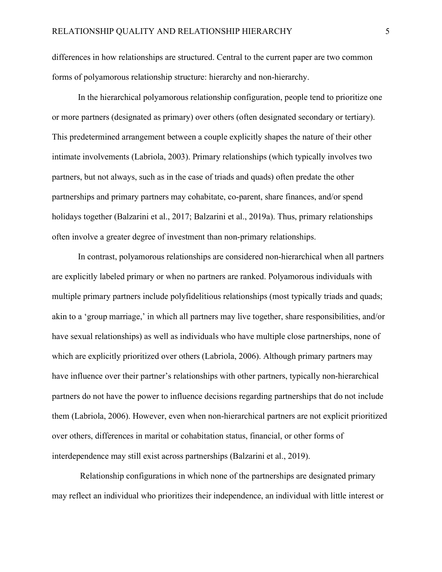differences in how relationships are structured. Central to the current paper are two common forms of polyamorous relationship structure: hierarchy and non-hierarchy.

In the hierarchical polyamorous relationship configuration, people tend to prioritize one or more partners (designated as primary) over others (often designated secondary or tertiary). This predetermined arrangement between a couple explicitly shapes the nature of their other intimate involvements (Labriola, 2003). Primary relationships (which typically involves two partners, but not always, such as in the case of triads and quads) often predate the other partnerships and primary partners may cohabitate, co-parent, share finances, and/or spend holidays together (Balzarini et al., 2017; Balzarini et al., 2019a). Thus, primary relationships often involve a greater degree of investment than non-primary relationships.

In contrast, polyamorous relationships are considered non-hierarchical when all partners are explicitly labeled primary or when no partners are ranked. Polyamorous individuals with multiple primary partners include polyfidelitious relationships (most typically triads and quads; akin to a 'group marriage,' in which all partners may live together, share responsibilities, and/or have sexual relationships) as well as individuals who have multiple close partnerships, none of which are explicitly prioritized over others (Labriola, 2006). Although primary partners may have influence over their partner's relationships with other partners, typically non-hierarchical partners do not have the power to influence decisions regarding partnerships that do not include them (Labriola, 2006). However, even when non-hierarchical partners are not explicit prioritized over others, differences in marital or cohabitation status, financial, or other forms of interdependence may still exist across partnerships (Balzarini et al., 2019).

Relationship configurations in which none of the partnerships are designated primary may reflect an individual who prioritizes their independence, an individual with little interest or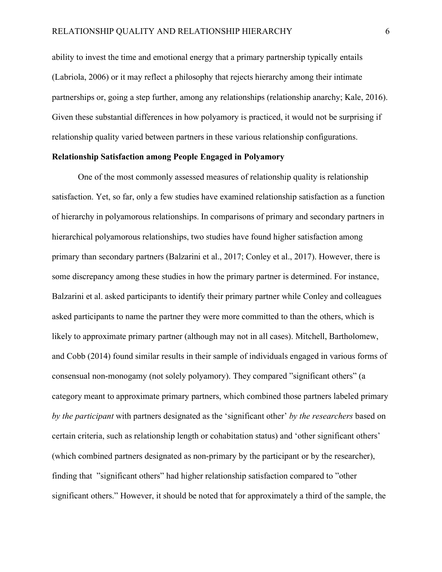ability to invest the time and emotional energy that a primary partnership typically entails (Labriola, 2006) or it may reflect a philosophy that rejects hierarchy among their intimate partnerships or, going a step further, among any relationships (relationship anarchy; Kale, 2016). Given these substantial differences in how polyamory is practiced, it would not be surprising if relationship quality varied between partners in these various relationship configurations.

#### **Relationship Satisfaction among People Engaged in Polyamory**

One of the most commonly assessed measures of relationship quality is relationship satisfaction. Yet, so far, only a few studies have examined relationship satisfaction as a function of hierarchy in polyamorous relationships. In comparisons of primary and secondary partners in hierarchical polyamorous relationships, two studies have found higher satisfaction among primary than secondary partners (Balzarini et al., 2017; Conley et al., 2017). However, there is some discrepancy among these studies in how the primary partner is determined. For instance, Balzarini et al. asked participants to identify their primary partner while Conley and colleagues asked participants to name the partner they were more committed to than the others, which is likely to approximate primary partner (although may not in all cases). Mitchell, Bartholomew, and Cobb (2014) found similar results in their sample of individuals engaged in various forms of consensual non-monogamy (not solely polyamory). They compared "significant others" (a category meant to approximate primary partners, which combined those partners labeled primary *by the participant* with partners designated as the 'significant other' *by the researchers* based on certain criteria, such as relationship length or cohabitation status) and 'other significant others' (which combined partners designated as non-primary by the participant or by the researcher), finding that "significant others" had higher relationship satisfaction compared to "other significant others." However, it should be noted that for approximately a third of the sample, the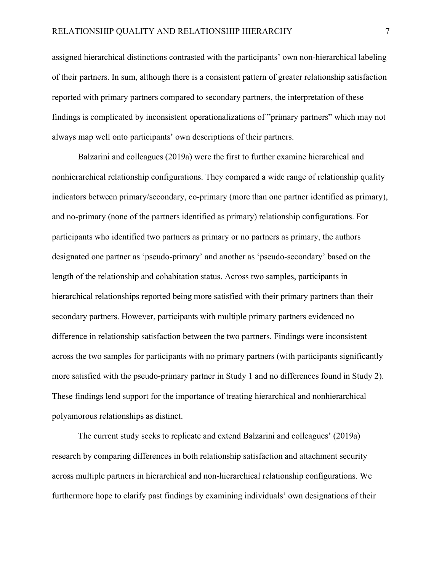assigned hierarchical distinctions contrasted with the participants' own non-hierarchical labeling of their partners. In sum, although there is a consistent pattern of greater relationship satisfaction reported with primary partners compared to secondary partners, the interpretation of these findings is complicated by inconsistent operationalizations of "primary partners" which may not always map well onto participants' own descriptions of their partners.

Balzarini and colleagues (2019a) were the first to further examine hierarchical and nonhierarchical relationship configurations. They compared a wide range of relationship quality indicators between primary/secondary, co-primary (more than one partner identified as primary), and no-primary (none of the partners identified as primary) relationship configurations. For participants who identified two partners as primary or no partners as primary, the authors designated one partner as 'pseudo-primary' and another as 'pseudo-secondary' based on the length of the relationship and cohabitation status. Across two samples, participants in hierarchical relationships reported being more satisfied with their primary partners than their secondary partners. However, participants with multiple primary partners evidenced no difference in relationship satisfaction between the two partners. Findings were inconsistent across the two samples for participants with no primary partners (with participants significantly more satisfied with the pseudo-primary partner in Study 1 and no differences found in Study 2). These findings lend support for the importance of treating hierarchical and nonhierarchical polyamorous relationships as distinct.

The current study seeks to replicate and extend Balzarini and colleagues' (2019a) research by comparing differences in both relationship satisfaction and attachment security across multiple partners in hierarchical and non-hierarchical relationship configurations. We furthermore hope to clarify past findings by examining individuals' own designations of their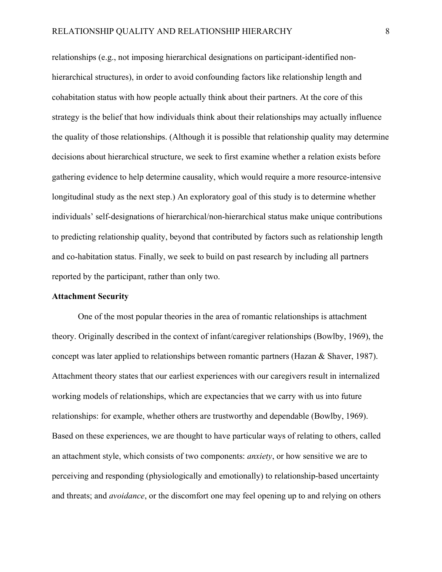relationships (e.g., not imposing hierarchical designations on participant-identified nonhierarchical structures), in order to avoid confounding factors like relationship length and cohabitation status with how people actually think about their partners. At the core of this strategy is the belief that how individuals think about their relationships may actually influence the quality of those relationships. (Although it is possible that relationship quality may determine decisions about hierarchical structure, we seek to first examine whether a relation exists before gathering evidence to help determine causality, which would require a more resource-intensive longitudinal study as the next step.) An exploratory goal of this study is to determine whether individuals' self-designations of hierarchical/non-hierarchical status make unique contributions to predicting relationship quality, beyond that contributed by factors such as relationship length and co-habitation status. Finally, we seek to build on past research by including all partners reported by the participant, rather than only two.

#### **Attachment Security**

One of the most popular theories in the area of romantic relationships is attachment theory. Originally described in the context of infant/caregiver relationships (Bowlby, 1969), the concept was later applied to relationships between romantic partners (Hazan & Shaver, 1987). Attachment theory states that our earliest experiences with our caregivers result in internalized working models of relationships, which are expectancies that we carry with us into future relationships: for example, whether others are trustworthy and dependable (Bowlby, 1969). Based on these experiences, we are thought to have particular ways of relating to others, called an attachment style, which consists of two components: *anxiety*, or how sensitive we are to perceiving and responding (physiologically and emotionally) to relationship-based uncertainty and threats; and *avoidance*, or the discomfort one may feel opening up to and relying on others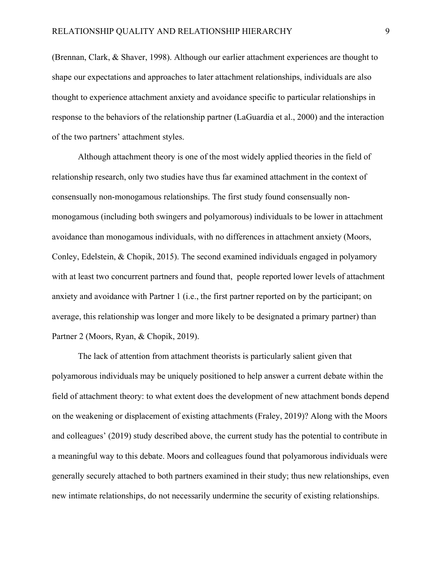(Brennan, Clark, & Shaver, 1998). Although our earlier attachment experiences are thought to shape our expectations and approaches to later attachment relationships, individuals are also thought to experience attachment anxiety and avoidance specific to particular relationships in response to the behaviors of the relationship partner (LaGuardia et al., 2000) and the interaction of the two partners' attachment styles.

Although attachment theory is one of the most widely applied theories in the field of relationship research, only two studies have thus far examined attachment in the context of consensually non-monogamous relationships. The first study found consensually nonmonogamous (including both swingers and polyamorous) individuals to be lower in attachment avoidance than monogamous individuals, with no differences in attachment anxiety (Moors, Conley, Edelstein, & Chopik, 2015). The second examined individuals engaged in polyamory with at least two concurrent partners and found that, people reported lower levels of attachment anxiety and avoidance with Partner 1 (i.e., the first partner reported on by the participant; on average, this relationship was longer and more likely to be designated a primary partner) than Partner 2 (Moors, Ryan, & Chopik, 2019).

The lack of attention from attachment theorists is particularly salient given that polyamorous individuals may be uniquely positioned to help answer a current debate within the field of attachment theory: to what extent does the development of new attachment bonds depend on the weakening or displacement of existing attachments (Fraley, 2019)? Along with the Moors and colleagues' (2019) study described above, the current study has the potential to contribute in a meaningful way to this debate. Moors and colleagues found that polyamorous individuals were generally securely attached to both partners examined in their study; thus new relationships, even new intimate relationships, do not necessarily undermine the security of existing relationships.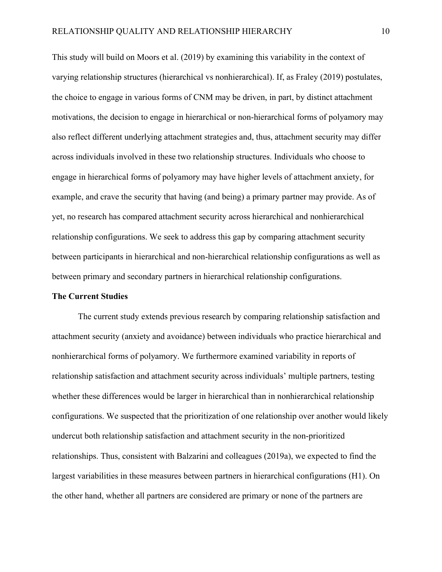This study will build on Moors et al. (2019) by examining this variability in the context of varying relationship structures (hierarchical vs nonhierarchical). If, as Fraley (2019) postulates, the choice to engage in various forms of CNM may be driven, in part, by distinct attachment motivations, the decision to engage in hierarchical or non-hierarchical forms of polyamory may also reflect different underlying attachment strategies and, thus, attachment security may differ across individuals involved in these two relationship structures. Individuals who choose to engage in hierarchical forms of polyamory may have higher levels of attachment anxiety, for example, and crave the security that having (and being) a primary partner may provide. As of yet, no research has compared attachment security across hierarchical and nonhierarchical relationship configurations. We seek to address this gap by comparing attachment security between participants in hierarchical and non-hierarchical relationship configurations as well as between primary and secondary partners in hierarchical relationship configurations.

#### **The Current Studies**

The current study extends previous research by comparing relationship satisfaction and attachment security (anxiety and avoidance) between individuals who practice hierarchical and nonhierarchical forms of polyamory. We furthermore examined variability in reports of relationship satisfaction and attachment security across individuals' multiple partners, testing whether these differences would be larger in hierarchical than in nonhierarchical relationship configurations. We suspected that the prioritization of one relationship over another would likely undercut both relationship satisfaction and attachment security in the non-prioritized relationships. Thus, consistent with Balzarini and colleagues (2019a), we expected to find the largest variabilities in these measures between partners in hierarchical configurations (H1). On the other hand, whether all partners are considered are primary or none of the partners are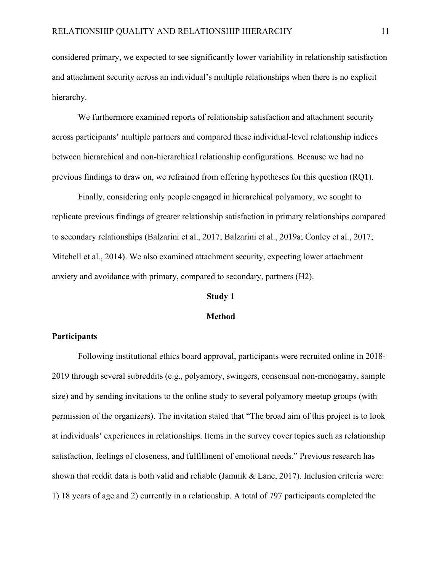considered primary, we expected to see significantly lower variability in relationship satisfaction and attachment security across an individual's multiple relationships when there is no explicit hierarchy.

We furthermore examined reports of relationship satisfaction and attachment security across participants' multiple partners and compared these individual-level relationship indices between hierarchical and non-hierarchical relationship configurations. Because we had no previous findings to draw on, we refrained from offering hypotheses for this question (RQ1).

Finally, considering only people engaged in hierarchical polyamory, we sought to replicate previous findings of greater relationship satisfaction in primary relationships compared to secondary relationships (Balzarini et al., 2017; Balzarini et al., 2019a; Conley et al., 2017; Mitchell et al., 2014). We also examined attachment security, expecting lower attachment anxiety and avoidance with primary, compared to secondary, partners (H2).

#### **Study 1**

#### **Method**

#### **Participants**

Following institutional ethics board approval, participants were recruited online in 2018- 2019 through several subreddits (e.g., polyamory, swingers, consensual non-monogamy, sample size) and by sending invitations to the online study to several polyamory meetup groups (with permission of the organizers). The invitation stated that "The broad aim of this project is to look at individuals' experiences in relationships. Items in the survey cover topics such as relationship satisfaction, feelings of closeness, and fulfillment of emotional needs." Previous research has shown that reddit data is both valid and reliable (Jamnik & Lane, 2017). Inclusion criteria were: 1) 18 years of age and 2) currently in a relationship. A total of 797 participants completed the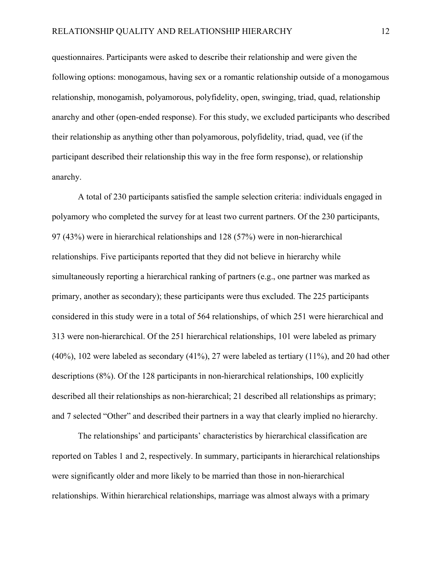questionnaires. Participants were asked to describe their relationship and were given the following options: monogamous, having sex or a romantic relationship outside of a monogamous relationship, monogamish, polyamorous, polyfidelity, open, swinging, triad, quad, relationship anarchy and other (open-ended response). For this study, we excluded participants who described their relationship as anything other than polyamorous, polyfidelity, triad, quad, vee (if the participant described their relationship this way in the free form response), or relationship anarchy.

A total of 230 participants satisfied the sample selection criteria: individuals engaged in polyamory who completed the survey for at least two current partners. Of the 230 participants, 97 (43%) were in hierarchical relationships and 128 (57%) were in non-hierarchical relationships. Five participants reported that they did not believe in hierarchy while simultaneously reporting a hierarchical ranking of partners (e.g., one partner was marked as primary, another as secondary); these participants were thus excluded. The 225 participants considered in this study were in a total of 564 relationships, of which 251 were hierarchical and 313 were non-hierarchical. Of the 251 hierarchical relationships, 101 were labeled as primary (40%), 102 were labeled as secondary (41%), 27 were labeled as tertiary (11%), and 20 had other descriptions (8%). Of the 128 participants in non-hierarchical relationships, 100 explicitly described all their relationships as non-hierarchical; 21 described all relationships as primary; and 7 selected "Other" and described their partners in a way that clearly implied no hierarchy.

The relationships' and participants' characteristics by hierarchical classification are reported on Tables 1 and 2, respectively. In summary, participants in hierarchical relationships were significantly older and more likely to be married than those in non-hierarchical relationships. Within hierarchical relationships, marriage was almost always with a primary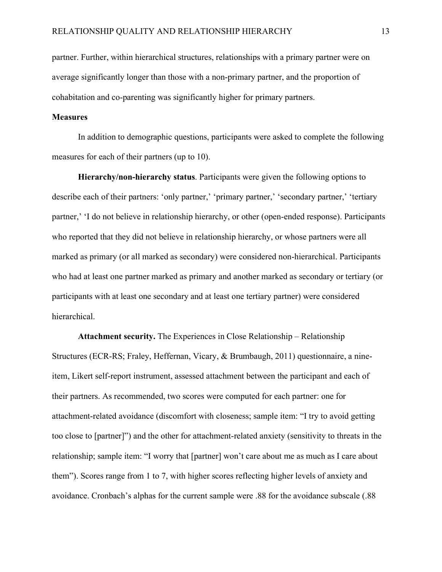partner. Further, within hierarchical structures, relationships with a primary partner were on average significantly longer than those with a non-primary partner, and the proportion of cohabitation and co-parenting was significantly higher for primary partners.

#### **Measures**

In addition to demographic questions, participants were asked to complete the following measures for each of their partners (up to 10).

**Hierarchy/non-hierarchy status**. Participants were given the following options to describe each of their partners: 'only partner,' 'primary partner,' 'secondary partner,' 'tertiary partner,' 'I do not believe in relationship hierarchy, or other (open-ended response). Participants who reported that they did not believe in relationship hierarchy, or whose partners were all marked as primary (or all marked as secondary) were considered non-hierarchical. Participants who had at least one partner marked as primary and another marked as secondary or tertiary (or participants with at least one secondary and at least one tertiary partner) were considered hierarchical.

**Attachment security.** The Experiences in Close Relationship – Relationship Structures (ECR-RS; Fraley, Heffernan, Vicary, & Brumbaugh, 2011) questionnaire, a nineitem, Likert self-report instrument, assessed attachment between the participant and each of their partners. As recommended, two scores were computed for each partner: one for attachment-related avoidance (discomfort with closeness; sample item: "I try to avoid getting too close to [partner]") and the other for attachment-related anxiety (sensitivity to threats in the relationship; sample item: "I worry that [partner] won't care about me as much as I care about them"). Scores range from 1 to 7, with higher scores reflecting higher levels of anxiety and avoidance. Cronbach's alphas for the current sample were .88 for the avoidance subscale (.88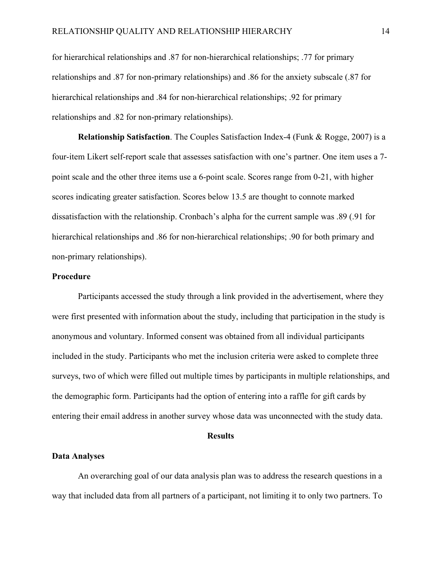for hierarchical relationships and .87 for non-hierarchical relationships; .77 for primary relationships and .87 for non-primary relationships) and .86 for the anxiety subscale (.87 for hierarchical relationships and .84 for non-hierarchical relationships; .92 for primary relationships and .82 for non-primary relationships).

**Relationship Satisfaction**. The Couples Satisfaction Index-4 (Funk & Rogge, 2007) is a four-item Likert self-report scale that assesses satisfaction with one's partner. One item uses a 7 point scale and the other three items use a 6-point scale. Scores range from 0-21, with higher scores indicating greater satisfaction. Scores below 13.5 are thought to connote marked dissatisfaction with the relationship. Cronbach's alpha for the current sample was .89 (.91 for hierarchical relationships and .86 for non-hierarchical relationships; .90 for both primary and non-primary relationships).

#### **Procedure**

Participants accessed the study through a link provided in the advertisement, where they were first presented with information about the study, including that participation in the study is anonymous and voluntary. Informed consent was obtained from all individual participants included in the study. Participants who met the inclusion criteria were asked to complete three surveys, two of which were filled out multiple times by participants in multiple relationships, and the demographic form. Participants had the option of entering into a raffle for gift cards by entering their email address in another survey whose data was unconnected with the study data.

#### **Results**

#### **Data Analyses**

An overarching goal of our data analysis plan was to address the research questions in a way that included data from all partners of a participant, not limiting it to only two partners. To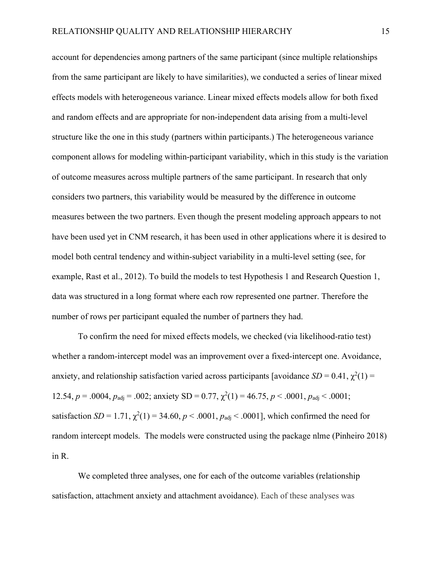account for dependencies among partners of the same participant (since multiple relationships from the same participant are likely to have similarities), we conducted a series of linear mixed effects models with heterogeneous variance. Linear mixed effects models allow for both fixed and random effects and are appropriate for non-independent data arising from a multi-level structure like the one in this study (partners within participants.) The heterogeneous variance component allows for modeling within-participant variability, which in this study is the variation of outcome measures across multiple partners of the same participant. In research that only considers two partners, this variability would be measured by the difference in outcome measures between the two partners. Even though the present modeling approach appears to not have been used yet in CNM research, it has been used in other applications where it is desired to model both central tendency and within-subject variability in a multi-level setting (see, for example, Rast et al., 2012). To build the models to test Hypothesis 1 and Research Question 1, data was structured in a long format where each row represented one partner. Therefore the number of rows per participant equaled the number of partners they had.

To confirm the need for mixed effects models, we checked (via likelihood-ratio test) whether a random-intercept model was an improvement over a fixed-intercept one. Avoidance, anxiety, and relationship satisfaction varied across participants [avoidance  $SD = 0.41$ ,  $\chi^2(1) =$ 12.54,  $p = .0004$ ,  $p_{\text{adj}} = .002$ ; anxiety SD = 0.77,  $\chi^2(1) = 46.75$ ,  $p < .0001$ ,  $p_{\text{adj}} < .0001$ ; satisfaction  $SD = 1.71$ ,  $\chi^2(1) = 34.60$ ,  $p < .0001$ ,  $p_{\text{adj}} < .0001$ ], which confirmed the need for random intercept models. The models were constructed using the package nlme (Pinheiro 2018) in R.

We completed three analyses, one for each of the outcome variables (relationship satisfaction, attachment anxiety and attachment avoidance). Each of these analyses was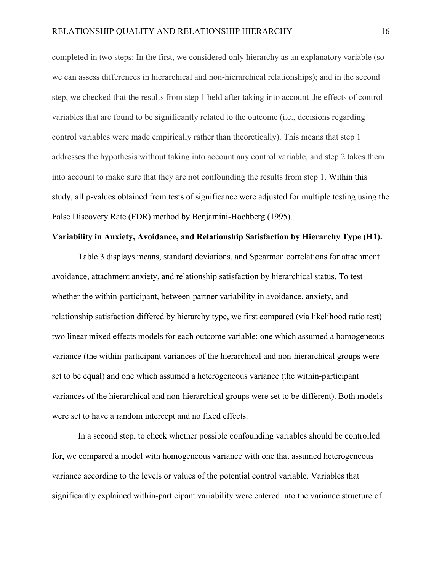completed in two steps: In the first, we considered only hierarchy as an explanatory variable (so we can assess differences in hierarchical and non-hierarchical relationships); and in the second step, we checked that the results from step 1 held after taking into account the effects of control variables that are found to be significantly related to the outcome (i.e., decisions regarding control variables were made empirically rather than theoretically). This means that step 1 addresses the hypothesis without taking into account any control variable, and step 2 takes them into account to make sure that they are not confounding the results from step 1. Within this study, all p-values obtained from tests of significance were adjusted for multiple testing using the False Discovery Rate (FDR) method by Benjamini-Hochberg (1995).

#### **Variability in Anxiety, Avoidance, and Relationship Satisfaction by Hierarchy Type (H1).**

Table 3 displays means, standard deviations, and Spearman correlations for attachment avoidance, attachment anxiety, and relationship satisfaction by hierarchical status. To test whether the within-participant, between-partner variability in avoidance, anxiety, and relationship satisfaction differed by hierarchy type, we first compared (via likelihood ratio test) two linear mixed effects models for each outcome variable: one which assumed a homogeneous variance (the within-participant variances of the hierarchical and non-hierarchical groups were set to be equal) and one which assumed a heterogeneous variance (the within-participant variances of the hierarchical and non-hierarchical groups were set to be different). Both models were set to have a random intercept and no fixed effects.

In a second step, to check whether possible confounding variables should be controlled for, we compared a model with homogeneous variance with one that assumed heterogeneous variance according to the levels or values of the potential control variable. Variables that significantly explained within-participant variability were entered into the variance structure of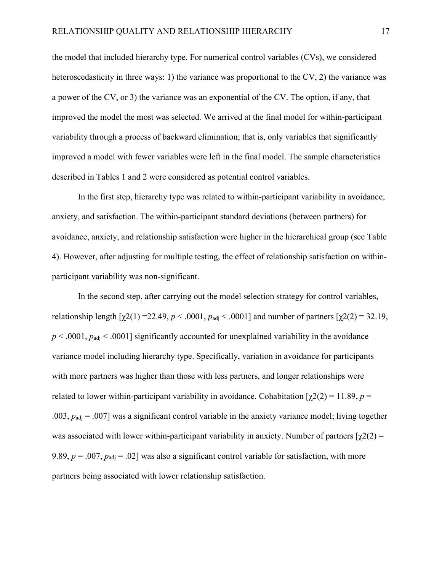the model that included hierarchy type. For numerical control variables (CVs), we considered heteroscedasticity in three ways: 1) the variance was proportional to the CV, 2) the variance was a power of the CV, or 3) the variance was an exponential of the CV. The option, if any, that improved the model the most was selected. We arrived at the final model for within-participant variability through a process of backward elimination; that is, only variables that significantly improved a model with fewer variables were left in the final model. The sample characteristics described in Tables 1 and 2 were considered as potential control variables.

In the first step, hierarchy type was related to within-participant variability in avoidance, anxiety, and satisfaction. The within-participant standard deviations (between partners) for avoidance, anxiety, and relationship satisfaction were higher in the hierarchical group (see Table 4). However, after adjusting for multiple testing, the effect of relationship satisfaction on withinparticipant variability was non-significant.

In the second step, after carrying out the model selection strategy for control variables, relationship length  $[χ2(1) = 22.49, p < .0001, p_{\text{adj}} < .0001]$  and number of partners  $[χ2(2) = 32.19,$  $p < .0001$ ,  $p_{\text{adj}} < .0001$ ] significantly accounted for unexplained variability in the avoidance variance model including hierarchy type. Specifically, variation in avoidance for participants with more partners was higher than those with less partners, and longer relationships were related to lower within-participant variability in avoidance. Cohabitation  $[\gamma(2)] = 11.89$ ,  $p =$ .003,  $p_{\text{adj}} = .007$ ] was a significant control variable in the anxiety variance model; living together was associated with lower within-participant variability in anxiety. Number of partners  $\lceil \chi(2) \rceil$ 9.89,  $p = .007$ ,  $p_{\text{adj}} = .02$ ] was also a significant control variable for satisfaction, with more partners being associated with lower relationship satisfaction.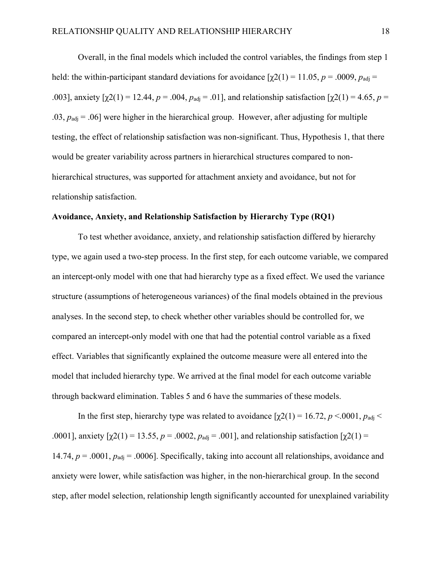Overall, in the final models which included the control variables, the findings from step 1 held: the within-participant standard deviations for avoidance  $[\gamma 2(1) = 11.05, p = .0009, p_{\text{adi}} =$ .003], anxiety  $[\gamma 2(1) = 12.44, p = .004, p_{\text{adi}} = .01]$ , and relationship satisfaction  $[\gamma 2(1) = 4.65, p =$  $.03$ ,  $p_{\text{adj}} = .06$ ] were higher in the hierarchical group. However, after adjusting for multiple testing, the effect of relationship satisfaction was non-significant. Thus, Hypothesis 1, that there would be greater variability across partners in hierarchical structures compared to nonhierarchical structures, was supported for attachment anxiety and avoidance, but not for relationship satisfaction.

#### **Avoidance, Anxiety, and Relationship Satisfaction by Hierarchy Type (RQ1)**

To test whether avoidance, anxiety, and relationship satisfaction differed by hierarchy type, we again used a two-step process. In the first step, for each outcome variable, we compared an intercept-only model with one that had hierarchy type as a fixed effect. We used the variance structure (assumptions of heterogeneous variances) of the final models obtained in the previous analyses. In the second step, to check whether other variables should be controlled for, we compared an intercept-only model with one that had the potential control variable as a fixed effect. Variables that significantly explained the outcome measure were all entered into the model that included hierarchy type. We arrived at the final model for each outcome variable through backward elimination. Tables 5 and 6 have the summaries of these models.

In the first step, hierarchy type was related to avoidance  $[\chi^2(1) = 16.72, p \lt 0.0001, p_{\text{adj}} \lt 0.0001]$ .0001], anxiety  $[\chi(2)] = 13.55$ ,  $p = .0002$ ,  $p_{\text{adj}} = .001$ ], and relationship satisfaction  $[\chi(2)] =$ 14.74,  $p = .0001$ ,  $p_{\text{adj}} = .0006$ . Specifically, taking into account all relationships, avoidance and anxiety were lower, while satisfaction was higher, in the non-hierarchical group. In the second step, after model selection, relationship length significantly accounted for unexplained variability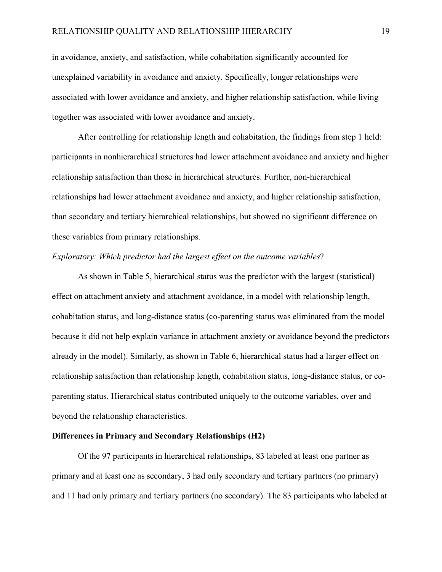in avoidance, anxiety, and satisfaction, while cohabitation significantly accounted for unexplained variability in avoidance and anxiety. Specifically, longer relationships were associated with lower avoidance and anxiety, and higher relationship satisfaction, while living together was associated with lower avoidance and anxiety.

After controlling for relationship length and cohabitation, the findings from step 1 held: participants in nonhierarchical structures had lower attachment avoidance and anxiety and higher relationship satisfaction than those in hierarchical structures. Further, non-hierarchical relationships had lower attachment avoidance and anxiety, and higher relationship satisfaction, than secondary and tertiary hierarchical relationships, but showed no significant difference on these variables from primary relationships.

#### *Exploratory: Which predictor had the largest effect on the outcome variables*?

As shown in Table 5, hierarchical status was the predictor with the largest (statistical) effect on attachment anxiety and attachment avoidance, in a model with relationship length, cohabitation status, and long-distance status (co-parenting status was eliminated from the model because it did not help explain variance in attachment anxiety or avoidance beyond the predictors already in the model). Similarly, as shown in Table 6, hierarchical status had a larger effect on relationship satisfaction than relationship length, cohabitation status, long-distance status, or coparenting status. Hierarchical status contributed uniquely to the outcome variables, over and beyond the relationship characteristics.

#### **Differences in Primary and Secondary Relationships (H2)**

Of the 97 participants in hierarchical relationships, 83 labeled at least one partner as primary and at least one as secondary, 3 had only secondary and tertiary partners (no primary) and 11 had only primary and tertiary partners (no secondary). The 83 participants who labeled at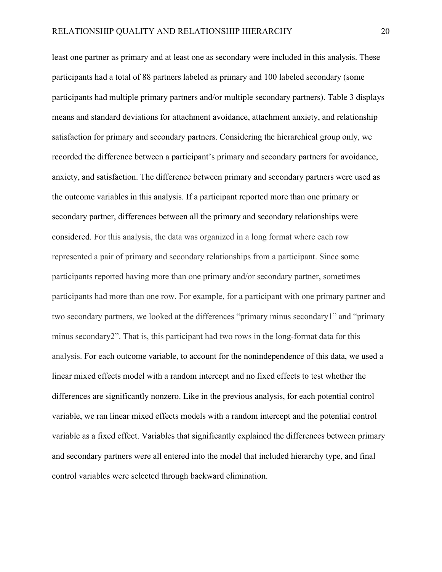least one partner as primary and at least one as secondary were included in this analysis. These participants had a total of 88 partners labeled as primary and 100 labeled secondary (some participants had multiple primary partners and/or multiple secondary partners). Table 3 displays means and standard deviations for attachment avoidance, attachment anxiety, and relationship satisfaction for primary and secondary partners. Considering the hierarchical group only, we recorded the difference between a participant's primary and secondary partners for avoidance, anxiety, and satisfaction. The difference between primary and secondary partners were used as the outcome variables in this analysis. If a participant reported more than one primary or secondary partner, differences between all the primary and secondary relationships were considered. For this analysis, the data was organized in a long format where each row represented a pair of primary and secondary relationships from a participant. Since some participants reported having more than one primary and/or secondary partner, sometimes participants had more than one row. For example, for a participant with one primary partner and two secondary partners, we looked at the differences "primary minus secondary1" and "primary minus secondary2". That is, this participant had two rows in the long-format data for this analysis. For each outcome variable, to account for the nonindependence of this data, we used a linear mixed effects model with a random intercept and no fixed effects to test whether the differences are significantly nonzero. Like in the previous analysis, for each potential control variable, we ran linear mixed effects models with a random intercept and the potential control variable as a fixed effect. Variables that significantly explained the differences between primary and secondary partners were all entered into the model that included hierarchy type, and final control variables were selected through backward elimination.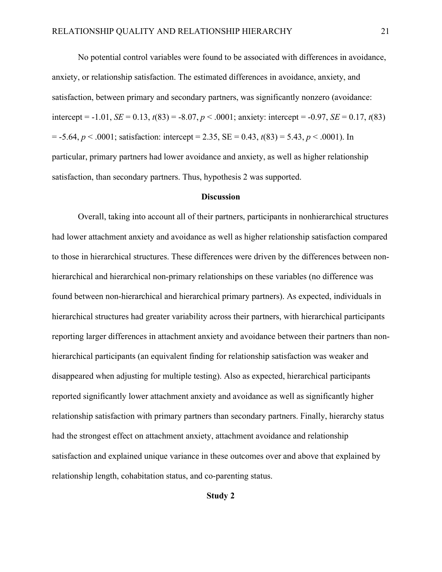No potential control variables were found to be associated with differences in avoidance, anxiety, or relationship satisfaction. The estimated differences in avoidance, anxiety, and satisfaction, between primary and secondary partners, was significantly nonzero (avoidance: intercept =  $-1.01$ , *SE* = 0.13,  $t(83)$  =  $-8.07$ ,  $p < .0001$ ; anxiety: intercept =  $-0.97$ , *SE* = 0.17,  $t(83)$  $= -5.64, p < .0001$ ; satisfaction: intercept  $= 2.35$ ,  $SE = 0.43$ ,  $t(83) = 5.43$ ,  $p < .0001$ ). In particular, primary partners had lower avoidance and anxiety, as well as higher relationship satisfaction, than secondary partners. Thus, hypothesis 2 was supported.

#### **Discussion**

Overall, taking into account all of their partners, participants in nonhierarchical structures had lower attachment anxiety and avoidance as well as higher relationship satisfaction compared to those in hierarchical structures. These differences were driven by the differences between nonhierarchical and hierarchical non-primary relationships on these variables (no difference was found between non-hierarchical and hierarchical primary partners). As expected, individuals in hierarchical structures had greater variability across their partners, with hierarchical participants reporting larger differences in attachment anxiety and avoidance between their partners than nonhierarchical participants (an equivalent finding for relationship satisfaction was weaker and disappeared when adjusting for multiple testing). Also as expected, hierarchical participants reported significantly lower attachment anxiety and avoidance as well as significantly higher relationship satisfaction with primary partners than secondary partners. Finally, hierarchy status had the strongest effect on attachment anxiety, attachment avoidance and relationship satisfaction and explained unique variance in these outcomes over and above that explained by relationship length, cohabitation status, and co-parenting status.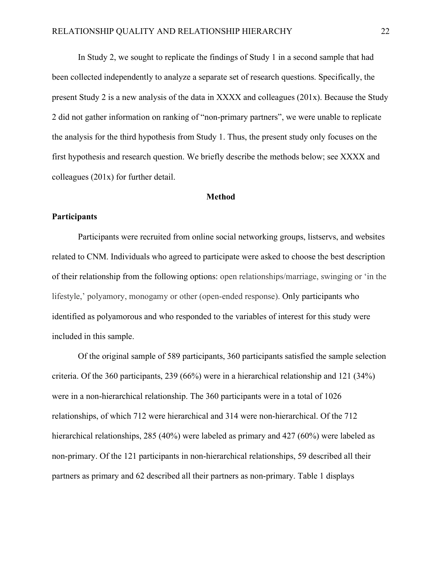In Study 2, we sought to replicate the findings of Study 1 in a second sample that had been collected independently to analyze a separate set of research questions. Specifically, the present Study 2 is a new analysis of the data in XXXX and colleagues (201x). Because the Study 2 did not gather information on ranking of "non-primary partners", we were unable to replicate the analysis for the third hypothesis from Study 1. Thus, the present study only focuses on the first hypothesis and research question. We briefly describe the methods below; see XXXX and colleagues (201x) for further detail.

#### **Method**

#### **Participants**

Participants were recruited from online social networking groups, listservs, and websites related to CNM. Individuals who agreed to participate were asked to choose the best description of their relationship from the following options: open relationships/marriage, swinging or 'in the lifestyle,' polyamory, monogamy or other (open-ended response). Only participants who identified as polyamorous and who responded to the variables of interest for this study were included in this sample.

Of the original sample of 589 participants, 360 participants satisfied the sample selection criteria. Of the 360 participants, 239 (66%) were in a hierarchical relationship and 121 (34%) were in a non-hierarchical relationship. The 360 participants were in a total of 1026 relationships, of which 712 were hierarchical and 314 were non-hierarchical. Of the 712 hierarchical relationships, 285 (40%) were labeled as primary and 427 (60%) were labeled as non-primary. Of the 121 participants in non-hierarchical relationships, 59 described all their partners as primary and 62 described all their partners as non-primary. Table 1 displays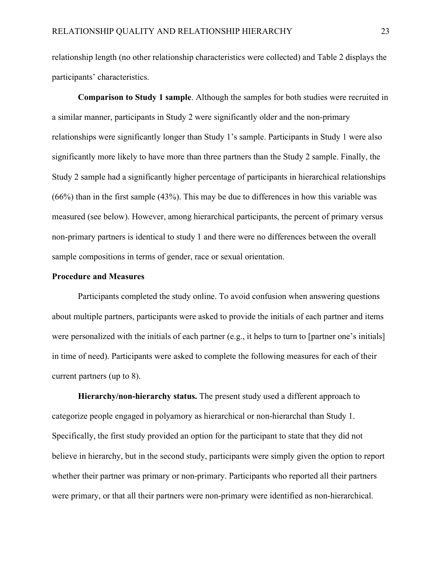relationship length (no other relationship characteristics were collected) and Table 2 displays the participants' characteristics.

**Comparison to Study 1 sample**. Although the samples for both studies were recruited in a similar manner, participants in Study 2 were significantly older and the non-primary relationships were significantly longer than Study 1's sample. Participants in Study 1 were also significantly more likely to have more than three partners than the Study 2 sample. Finally, the Study 2 sample had a significantly higher percentage of participants in hierarchical relationships (66%) than in the first sample (43%). This may be due to differences in how this variable was measured (see below). However, among hierarchical participants, the percent of primary versus non-primary partners is identical to study 1 and there were no differences between the overall sample compositions in terms of gender, race or sexual orientation.

#### **Procedure and Measures**

Participants completed the study online. To avoid confusion when answering questions about multiple partners, participants were asked to provide the initials of each partner and items were personalized with the initials of each partner (e.g., it helps to turn to [partner one's initials] in time of need). Participants were asked to complete the following measures for each of their current partners (up to 8).

**Hierarchy/non-hierarchy status.** The present study used a different approach to categorize people engaged in polyamory as hierarchical or non-hierarchal than Study 1. Specifically, the first study provided an option for the participant to state that they did not believe in hierarchy, but in the second study, participants were simply given the option to report whether their partner was primary or non-primary. Participants who reported all their partners were primary, or that all their partners were non-primary were identified as non-hierarchical.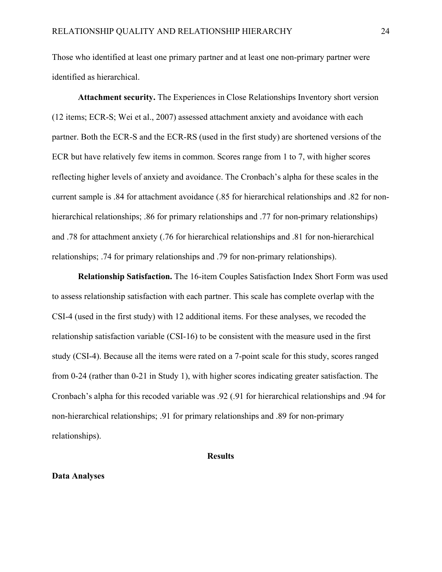Those who identified at least one primary partner and at least one non-primary partner were identified as hierarchical.

**Attachment security.** The Experiences in Close Relationships Inventory short version (12 items; ECR-S; Wei et al., 2007) assessed attachment anxiety and avoidance with each partner. Both the ECR-S and the ECR-RS (used in the first study) are shortened versions of the ECR but have relatively few items in common. Scores range from 1 to 7, with higher scores reflecting higher levels of anxiety and avoidance. The Cronbach's alpha for these scales in the current sample is .84 for attachment avoidance (.85 for hierarchical relationships and .82 for nonhierarchical relationships; .86 for primary relationships and .77 for non-primary relationships) and .78 for attachment anxiety (.76 for hierarchical relationships and .81 for non-hierarchical relationships; .74 for primary relationships and .79 for non-primary relationships).

**Relationship Satisfaction.** The 16-item Couples Satisfaction Index Short Form was used to assess relationship satisfaction with each partner. This scale has complete overlap with the CSI-4 (used in the first study) with 12 additional items. For these analyses, we recoded the relationship satisfaction variable (CSI-16) to be consistent with the measure used in the first study (CSI-4). Because all the items were rated on a 7-point scale for this study, scores ranged from 0-24 (rather than 0-21 in Study 1), with higher scores indicating greater satisfaction. The Cronbach's alpha for this recoded variable was .92 (.91 for hierarchical relationships and .94 for non-hierarchical relationships; .91 for primary relationships and .89 for non-primary relationships).

#### **Results**

#### **Data Analyses**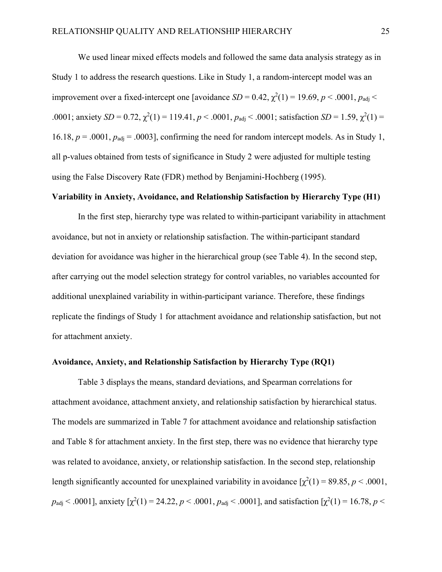We used linear mixed effects models and followed the same data analysis strategy as in Study 1 to address the research questions. Like in Study 1, a random-intercept model was an improvement over a fixed-intercept one [avoidance  $SD = 0.42$ ,  $\chi^2(1) = 19.69$ ,  $p < .0001$ ,  $p_{\text{adj}} <$ .0001; anxiety  $SD = 0.72$ ,  $\chi^2(1) = 119.41$ ,  $p < .0001$ ,  $p_{\text{adj}} < .0001$ ; satisfaction  $SD = 1.59$ ,  $\chi^2(1) =$ 16.18,  $p = .0001$ ,  $p_{\text{adj}} = .0003$ , confirming the need for random intercept models. As in Study 1, all p-values obtained from tests of significance in Study 2 were adjusted for multiple testing using the False Discovery Rate (FDR) method by Benjamini-Hochberg (1995).

#### **Variability in Anxiety, Avoidance, and Relationship Satisfaction by Hierarchy Type (H1)**

In the first step, hierarchy type was related to within-participant variability in attachment avoidance, but not in anxiety or relationship satisfaction. The within-participant standard deviation for avoidance was higher in the hierarchical group (see Table 4). In the second step, after carrying out the model selection strategy for control variables, no variables accounted for additional unexplained variability in within-participant variance. Therefore, these findings replicate the findings of Study 1 for attachment avoidance and relationship satisfaction, but not for attachment anxiety.

#### **Avoidance, Anxiety, and Relationship Satisfaction by Hierarchy Type (RQ1)**

Table 3 displays the means, standard deviations, and Spearman correlations for attachment avoidance, attachment anxiety, and relationship satisfaction by hierarchical status. The models are summarized in Table 7 for attachment avoidance and relationship satisfaction and Table 8 for attachment anxiety. In the first step, there was no evidence that hierarchy type was related to avoidance, anxiety, or relationship satisfaction. In the second step, relationship length significantly accounted for unexplained variability in avoidance  $[\chi^2(1) = 89.85, p < .0001,$  $p_{\text{adj}}$  < .0001], anxiety  $[\chi^2(1) = 24.22, p \lt 0.001, p_{\text{adj}} \lt 0.0001]$ , and satisfaction  $[\chi^2(1) = 16.78, p \lt 0.001]$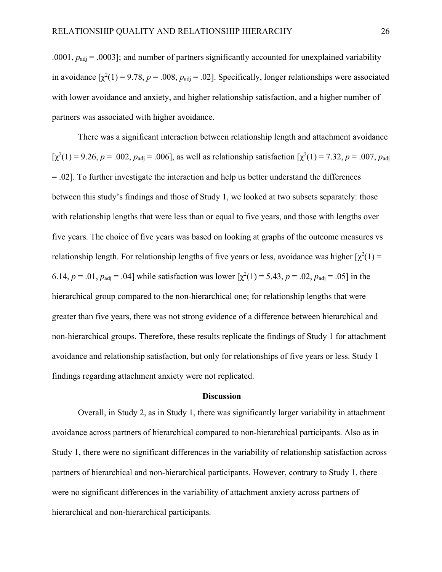.0001,  $p_{\text{adj}} = .0003$ ]; and number of partners significantly accounted for unexplained variability in avoidance  $[\chi^2(1) = 9.78, p = .008, p_{\text{adj}} = .02]$ . Specifically, longer relationships were associated with lower avoidance and anxiety, and higher relationship satisfaction, and a higher number of partners was associated with higher avoidance.

There was a significant interaction between relationship length and attachment avoidance  $[\chi^2(1) = 9.26, p = .002, p_{\text{adj}} = .006]$ , as well as relationship satisfaction  $[\chi^2(1) = 7.32, p = .007, p_{\text{adj}}]$ = .02]. To further investigate the interaction and help us better understand the differences between this study's findings and those of Study 1, we looked at two subsets separately: those with relationship lengths that were less than or equal to five years, and those with lengths over five years. The choice of five years was based on looking at graphs of the outcome measures vs relationship length. For relationship lengths of five years or less, avoidance was higher  $[\chi^2(1)$  = 6.14,  $p = .01$ ,  $p_{\text{adj}} = .04$ ] while satisfaction was lower  $[\chi^2(1) = 5.43, p = .02, p_{\text{adj}} = .05]$  in the hierarchical group compared to the non-hierarchical one; for relationship lengths that were greater than five years, there was not strong evidence of a difference between hierarchical and non-hierarchical groups. Therefore, these results replicate the findings of Study 1 for attachment avoidance and relationship satisfaction, but only for relationships of five years or less. Study 1 findings regarding attachment anxiety were not replicated.

#### **Discussion**

Overall, in Study 2, as in Study 1, there was significantly larger variability in attachment avoidance across partners of hierarchical compared to non-hierarchical participants. Also as in Study 1, there were no significant differences in the variability of relationship satisfaction across partners of hierarchical and non-hierarchical participants. However, contrary to Study 1, there were no significant differences in the variability of attachment anxiety across partners of hierarchical and non-hierarchical participants.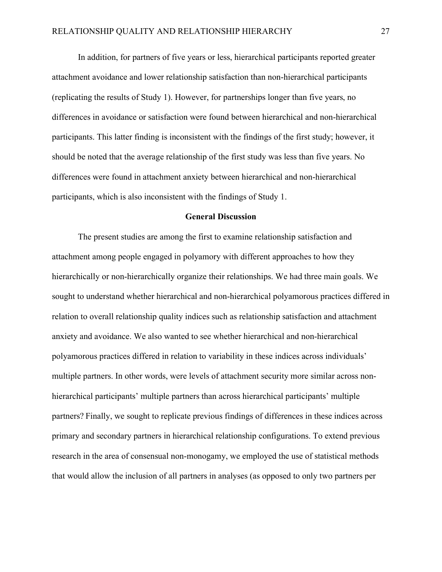In addition, for partners of five years or less, hierarchical participants reported greater attachment avoidance and lower relationship satisfaction than non-hierarchical participants (replicating the results of Study 1). However, for partnerships longer than five years, no differences in avoidance or satisfaction were found between hierarchical and non-hierarchical participants. This latter finding is inconsistent with the findings of the first study; however, it should be noted that the average relationship of the first study was less than five years. No differences were found in attachment anxiety between hierarchical and non-hierarchical participants, which is also inconsistent with the findings of Study 1.

#### **General Discussion**

The present studies are among the first to examine relationship satisfaction and attachment among people engaged in polyamory with different approaches to how they hierarchically or non-hierarchically organize their relationships. We had three main goals. We sought to understand whether hierarchical and non-hierarchical polyamorous practices differed in relation to overall relationship quality indices such as relationship satisfaction and attachment anxiety and avoidance. We also wanted to see whether hierarchical and non-hierarchical polyamorous practices differed in relation to variability in these indices across individuals' multiple partners. In other words, were levels of attachment security more similar across nonhierarchical participants' multiple partners than across hierarchical participants' multiple partners? Finally, we sought to replicate previous findings of differences in these indices across primary and secondary partners in hierarchical relationship configurations. To extend previous research in the area of consensual non-monogamy, we employed the use of statistical methods that would allow the inclusion of all partners in analyses (as opposed to only two partners per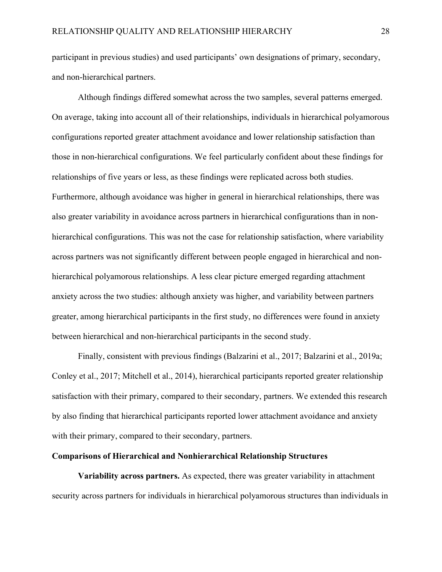participant in previous studies) and used participants' own designations of primary, secondary, and non-hierarchical partners.

Although findings differed somewhat across the two samples, several patterns emerged. On average, taking into account all of their relationships, individuals in hierarchical polyamorous configurations reported greater attachment avoidance and lower relationship satisfaction than those in non-hierarchical configurations. We feel particularly confident about these findings for relationships of five years or less, as these findings were replicated across both studies. Furthermore, although avoidance was higher in general in hierarchical relationships, there was also greater variability in avoidance across partners in hierarchical configurations than in nonhierarchical configurations. This was not the case for relationship satisfaction, where variability across partners was not significantly different between people engaged in hierarchical and nonhierarchical polyamorous relationships. A less clear picture emerged regarding attachment anxiety across the two studies: although anxiety was higher, and variability between partners greater, among hierarchical participants in the first study, no differences were found in anxiety between hierarchical and non-hierarchical participants in the second study.

Finally, consistent with previous findings (Balzarini et al., 2017; Balzarini et al., 2019a; Conley et al., 2017; Mitchell et al., 2014), hierarchical participants reported greater relationship satisfaction with their primary, compared to their secondary, partners. We extended this research by also finding that hierarchical participants reported lower attachment avoidance and anxiety with their primary, compared to their secondary, partners.

#### **Comparisons of Hierarchical and Nonhierarchical Relationship Structures**

**Variability across partners.** As expected, there was greater variability in attachment security across partners for individuals in hierarchical polyamorous structures than individuals in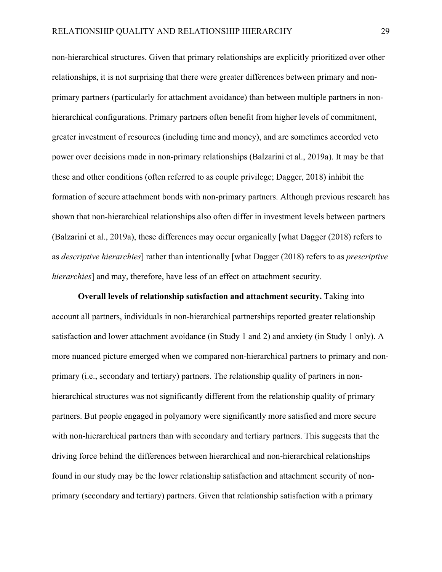non-hierarchical structures. Given that primary relationships are explicitly prioritized over other relationships, it is not surprising that there were greater differences between primary and nonprimary partners (particularly for attachment avoidance) than between multiple partners in nonhierarchical configurations. Primary partners often benefit from higher levels of commitment, greater investment of resources (including time and money), and are sometimes accorded veto power over decisions made in non-primary relationships (Balzarini et al., 2019a). It may be that these and other conditions (often referred to as couple privilege; Dagger, 2018) inhibit the formation of secure attachment bonds with non-primary partners. Although previous research has shown that non-hierarchical relationships also often differ in investment levels between partners (Balzarini et al., 2019a), these differences may occur organically [what Dagger (2018) refers to as *descriptive hierarchies*] rather than intentionally [what Dagger (2018) refers to as *prescriptive hierarchies*] and may, therefore, have less of an effect on attachment security.

**Overall levels of relationship satisfaction and attachment security.** Taking into account all partners, individuals in non-hierarchical partnerships reported greater relationship satisfaction and lower attachment avoidance (in Study 1 and 2) and anxiety (in Study 1 only). A more nuanced picture emerged when we compared non-hierarchical partners to primary and nonprimary (i.e., secondary and tertiary) partners. The relationship quality of partners in nonhierarchical structures was not significantly different from the relationship quality of primary partners. But people engaged in polyamory were significantly more satisfied and more secure with non-hierarchical partners than with secondary and tertiary partners. This suggests that the driving force behind the differences between hierarchical and non-hierarchical relationships found in our study may be the lower relationship satisfaction and attachment security of nonprimary (secondary and tertiary) partners. Given that relationship satisfaction with a primary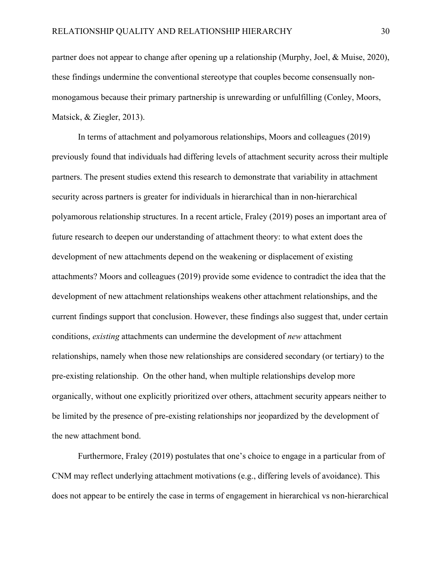partner does not appear to change after opening up a relationship (Murphy, Joel, & Muise, 2020), these findings undermine the conventional stereotype that couples become consensually nonmonogamous because their primary partnership is unrewarding or unfulfilling (Conley, Moors, Matsick, & Ziegler, 2013).

In terms of attachment and polyamorous relationships, Moors and colleagues (2019) previously found that individuals had differing levels of attachment security across their multiple partners. The present studies extend this research to demonstrate that variability in attachment security across partners is greater for individuals in hierarchical than in non-hierarchical polyamorous relationship structures. In a recent article, Fraley (2019) poses an important area of future research to deepen our understanding of attachment theory: to what extent does the development of new attachments depend on the weakening or displacement of existing attachments? Moors and colleagues (2019) provide some evidence to contradict the idea that the development of new attachment relationships weakens other attachment relationships, and the current findings support that conclusion. However, these findings also suggest that, under certain conditions, *existing* attachments can undermine the development of *new* attachment relationships, namely when those new relationships are considered secondary (or tertiary) to the pre-existing relationship. On the other hand, when multiple relationships develop more organically, without one explicitly prioritized over others, attachment security appears neither to be limited by the presence of pre-existing relationships nor jeopardized by the development of the new attachment bond.

Furthermore, Fraley (2019) postulates that one's choice to engage in a particular from of CNM may reflect underlying attachment motivations (e.g., differing levels of avoidance). This does not appear to be entirely the case in terms of engagement in hierarchical vs non-hierarchical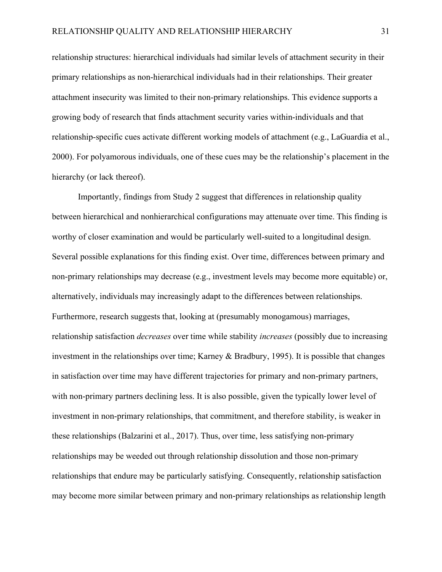relationship structures: hierarchical individuals had similar levels of attachment security in their primary relationships as non-hierarchical individuals had in their relationships. Their greater attachment insecurity was limited to their non-primary relationships. This evidence supports a growing body of research that finds attachment security varies within-individuals and that relationship-specific cues activate different working models of attachment (e.g., LaGuardia et al., 2000). For polyamorous individuals, one of these cues may be the relationship's placement in the hierarchy (or lack thereof).

Importantly, findings from Study 2 suggest that differences in relationship quality between hierarchical and nonhierarchical configurations may attenuate over time. This finding is worthy of closer examination and would be particularly well-suited to a longitudinal design. Several possible explanations for this finding exist. Over time, differences between primary and non-primary relationships may decrease (e.g., investment levels may become more equitable) or, alternatively, individuals may increasingly adapt to the differences between relationships. Furthermore, research suggests that, looking at (presumably monogamous) marriages, relationship satisfaction *decreases* over time while stability *increases* (possibly due to increasing investment in the relationships over time; Karney & Bradbury, 1995). It is possible that changes in satisfaction over time may have different trajectories for primary and non-primary partners, with non-primary partners declining less. It is also possible, given the typically lower level of investment in non-primary relationships, that commitment, and therefore stability, is weaker in these relationships (Balzarini et al., 2017). Thus, over time, less satisfying non-primary relationships may be weeded out through relationship dissolution and those non-primary relationships that endure may be particularly satisfying. Consequently, relationship satisfaction may become more similar between primary and non-primary relationships as relationship length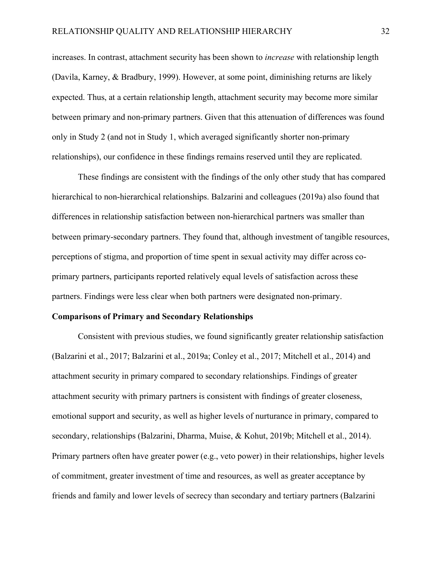increases. In contrast, attachment security has been shown to *increase* with relationship length (Davila, Karney, & Bradbury, 1999). However, at some point, diminishing returns are likely expected. Thus, at a certain relationship length, attachment security may become more similar between primary and non-primary partners. Given that this attenuation of differences was found only in Study 2 (and not in Study 1, which averaged significantly shorter non-primary relationships), our confidence in these findings remains reserved until they are replicated.

These findings are consistent with the findings of the only other study that has compared hierarchical to non-hierarchical relationships. Balzarini and colleagues (2019a) also found that differences in relationship satisfaction between non-hierarchical partners was smaller than between primary-secondary partners. They found that, although investment of tangible resources, perceptions of stigma, and proportion of time spent in sexual activity may differ across coprimary partners, participants reported relatively equal levels of satisfaction across these partners. Findings were less clear when both partners were designated non-primary.

#### **Comparisons of Primary and Secondary Relationships**

Consistent with previous studies, we found significantly greater relationship satisfaction (Balzarini et al., 2017; Balzarini et al., 2019a; Conley et al., 2017; Mitchell et al., 2014) and attachment security in primary compared to secondary relationships. Findings of greater attachment security with primary partners is consistent with findings of greater closeness, emotional support and security, as well as higher levels of nurturance in primary, compared to secondary, relationships (Balzarini, Dharma, Muise, & Kohut, 2019b; Mitchell et al., 2014). Primary partners often have greater power (e.g., veto power) in their relationships, higher levels of commitment, greater investment of time and resources, as well as greater acceptance by friends and family and lower levels of secrecy than secondary and tertiary partners (Balzarini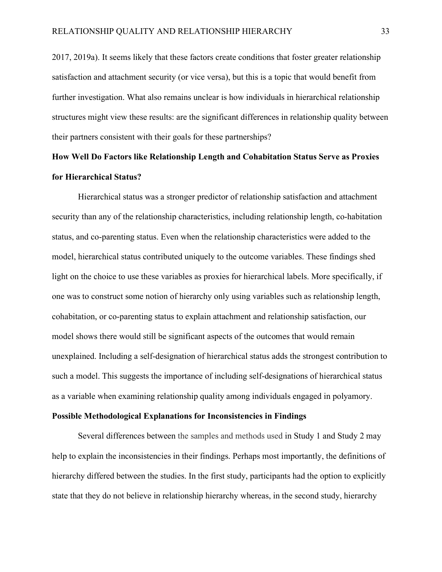2017, 2019a). It seems likely that these factors create conditions that foster greater relationship satisfaction and attachment security (or vice versa), but this is a topic that would benefit from further investigation. What also remains unclear is how individuals in hierarchical relationship structures might view these results: are the significant differences in relationship quality between their partners consistent with their goals for these partnerships?

## **How Well Do Factors like Relationship Length and Cohabitation Status Serve as Proxies for Hierarchical Status?**

Hierarchical status was a stronger predictor of relationship satisfaction and attachment security than any of the relationship characteristics, including relationship length, co-habitation status, and co-parenting status. Even when the relationship characteristics were added to the model, hierarchical status contributed uniquely to the outcome variables. These findings shed light on the choice to use these variables as proxies for hierarchical labels. More specifically, if one was to construct some notion of hierarchy only using variables such as relationship length, cohabitation, or co-parenting status to explain attachment and relationship satisfaction, our model shows there would still be significant aspects of the outcomes that would remain unexplained. Including a self-designation of hierarchical status adds the strongest contribution to such a model. This suggests the importance of including self-designations of hierarchical status as a variable when examining relationship quality among individuals engaged in polyamory.

#### **Possible Methodological Explanations for Inconsistencies in Findings**

Several differences between the samples and methods used in Study 1 and Study 2 may help to explain the inconsistencies in their findings. Perhaps most importantly, the definitions of hierarchy differed between the studies. In the first study, participants had the option to explicitly state that they do not believe in relationship hierarchy whereas, in the second study, hierarchy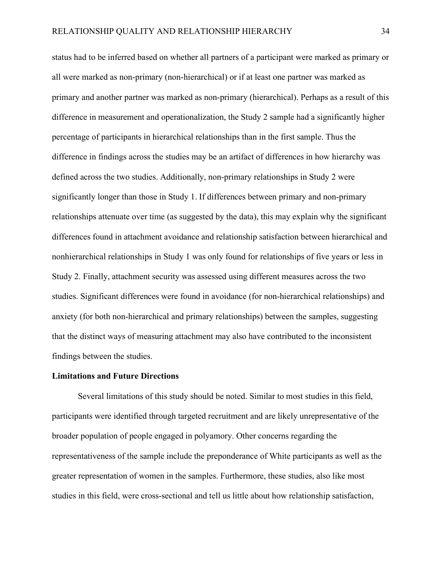status had to be inferred based on whether all partners of a participant were marked as primary or all were marked as non-primary (non-hierarchical) or if at least one partner was marked as primary and another partner was marked as non-primary (hierarchical). Perhaps as a result of this difference in measurement and operationalization, the Study 2 sample had a significantly higher percentage of participants in hierarchical relationships than in the first sample. Thus the difference in findings across the studies may be an artifact of differences in how hierarchy was defined across the two studies. Additionally, non-primary relationships in Study 2 were significantly longer than those in Study 1. If differences between primary and non-primary relationships attenuate over time (as suggested by the data), this may explain why the significant differences found in attachment avoidance and relationship satisfaction between hierarchical and nonhierarchical relationships in Study 1 was only found for relationships of five years or less in Study 2. Finally, attachment security was assessed using different measures across the two studies. Significant differences were found in avoidance (for non-hierarchical relationships) and anxiety (for both non-hierarchical and primary relationships) between the samples, suggesting that the distinct ways of measuring attachment may also have contributed to the inconsistent findings between the studies.

#### **Limitations and Future Directions**

Several limitations of this study should be noted. Similar to most studies in this field, participants were identified through targeted recruitment and are likely unrepresentative of the broader population of people engaged in polyamory. Other concerns regarding the representativeness of the sample include the preponderance of White participants as well as the greater representation of women in the samples. Furthermore, these studies, also like most studies in this field, were cross-sectional and tell us little about how relationship satisfaction,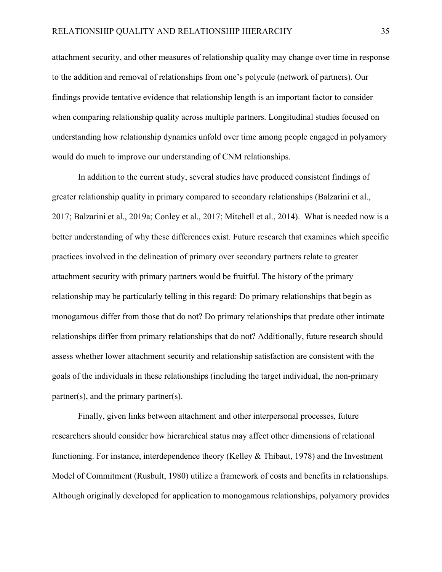attachment security, and other measures of relationship quality may change over time in response to the addition and removal of relationships from one's polycule (network of partners). Our findings provide tentative evidence that relationship length is an important factor to consider when comparing relationship quality across multiple partners. Longitudinal studies focused on understanding how relationship dynamics unfold over time among people engaged in polyamory would do much to improve our understanding of CNM relationships.

In addition to the current study, several studies have produced consistent findings of greater relationship quality in primary compared to secondary relationships (Balzarini et al., 2017; Balzarini et al., 2019a; Conley et al., 2017; Mitchell et al., 2014). What is needed now is a better understanding of why these differences exist. Future research that examines which specific practices involved in the delineation of primary over secondary partners relate to greater attachment security with primary partners would be fruitful. The history of the primary relationship may be particularly telling in this regard: Do primary relationships that begin as monogamous differ from those that do not? Do primary relationships that predate other intimate relationships differ from primary relationships that do not? Additionally, future research should assess whether lower attachment security and relationship satisfaction are consistent with the goals of the individuals in these relationships (including the target individual, the non-primary partner(s), and the primary partner(s).

Finally, given links between attachment and other interpersonal processes, future researchers should consider how hierarchical status may affect other dimensions of relational functioning. For instance, interdependence theory (Kelley & Thibaut, 1978) and the Investment Model of Commitment (Rusbult, 1980) utilize a framework of costs and benefits in relationships. Although originally developed for application to monogamous relationships, polyamory provides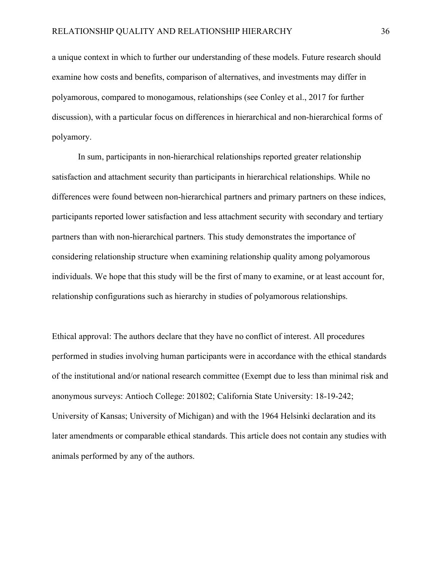a unique context in which to further our understanding of these models. Future research should examine how costs and benefits, comparison of alternatives, and investments may differ in polyamorous, compared to monogamous, relationships (see Conley et al., 2017 for further discussion), with a particular focus on differences in hierarchical and non-hierarchical forms of polyamory.

In sum, participants in non-hierarchical relationships reported greater relationship satisfaction and attachment security than participants in hierarchical relationships. While no differences were found between non-hierarchical partners and primary partners on these indices, participants reported lower satisfaction and less attachment security with secondary and tertiary partners than with non-hierarchical partners. This study demonstrates the importance of considering relationship structure when examining relationship quality among polyamorous individuals. We hope that this study will be the first of many to examine, or at least account for, relationship configurations such as hierarchy in studies of polyamorous relationships.

Ethical approval: The authors declare that they have no conflict of interest. All procedures performed in studies involving human participants were in accordance with the ethical standards of the institutional and/or national research committee (Exempt due to less than minimal risk and anonymous surveys: Antioch College: 201802; California State University: 18-19-242; University of Kansas; University of Michigan) and with the 1964 Helsinki declaration and its later amendments or comparable ethical standards. This article does not contain any studies with animals performed by any of the authors.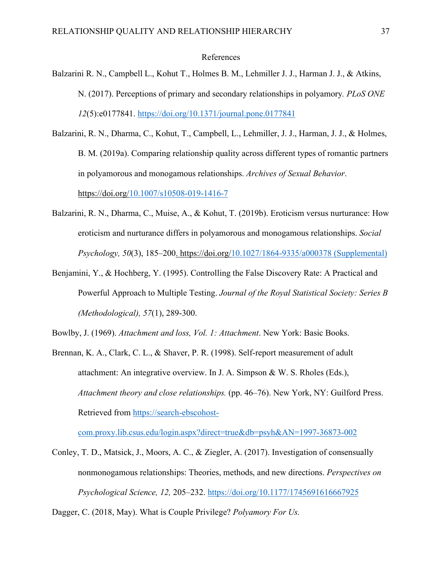#### References

- Balzarini R. N., Campbell L., Kohut T., Holmes B. M., Lehmiller J. J., Harman J. J., & Atkins, N. (2017). Perceptions of primary and secondary relationships in polyamory*. PLoS ONE 12*(5):e0177841.<https://doi.org/10.1371/journal.pone.0177841>
- Balzarini, R. N., Dharma, C., Kohut, T., Campbell, L., Lehmiller, J. J., Harman, J. J., & Holmes, B. M. (2019a). Comparing relationship quality across different types of romantic partners in polyamorous and monogamous relationships. *Archives of Sexual Behavior*. [https://doi.org/10.1007/s10508-019-1416-7](https://doi-org.proxy.lib.csus.edu/10.1007/s10508-019-1416-7)
- Balzarini, R. N., Dharma, C., Muise, A., & Kohut, T. (2019b). Eroticism versus nurturance: How eroticism and nurturance differs in polyamorous and monogamous relationships. *Social Psychology, 50*(3), 185–200. https://doi.org/10.1027/1864-9335/a000378 (Supplemental)
- Benjamini, Y., & Hochberg, Y. (1995). Controlling the False Discovery Rate: A Practical and Powerful Approach to Multiple Testing. *Journal of the Royal Statistical Society: Series B (Methodological), 57*(1), 289-300.

Bowlby, J. (1969). *Attachment and loss, Vol. 1: Attachment*. New York: Basic Books.

Brennan, K. A., Clark, C. L., & Shaver, P. R. (1998). Self-report measurement of adult attachment: An integrative overview. In J. A. Simpson & W. S. Rholes (Eds.), *Attachment theory and close relationships.* (pp. 46–76). New York, NY: Guilford Press. Retrieved from [https://search-ebscohost-](https://search-ebscohost-com.proxy.lib.csus.edu/login.aspx?direct=true&db=psyh&AN=1997-36873-002)

[com.proxy.lib.csus.edu/login.aspx?direct=true&db=psyh&AN=1997-36873-002](https://search-ebscohost-com.proxy.lib.csus.edu/login.aspx?direct=true&db=psyh&AN=1997-36873-002)

Conley, T. D., Matsick, J., Moors, A. C., & Ziegler, A. (2017). Investigation of consensually nonmonogamous relationships: Theories, methods, and new directions. *Perspectives on Psychological Science, 12,* 205–232. <https://doi.org/10.1177/1745691616667925>

Dagger, C. (2018, May). What is Couple Privilege? *Polyamory For Us.*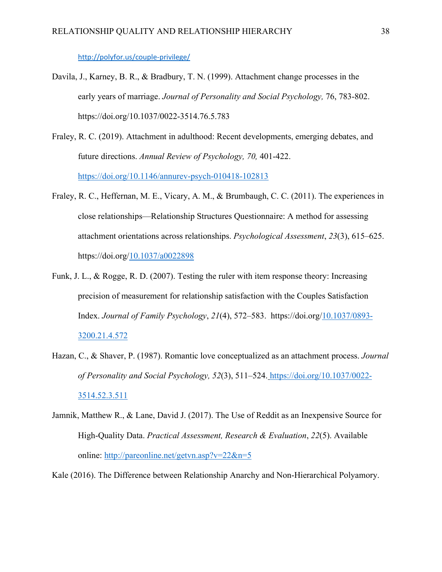<http://polyfor.us/couple-privilege/>

- Davila, J., Karney, B. R., & Bradbury, T. N. (1999). Attachment change processes in the early years of marriage. *Journal of Personality and Social Psychology,* 76, 783-802. https://doi.org/10.1037/0022-3514.76.5.783
- Fraley, R. C. (2019). Attachment in adulthood: Recent developments, emerging debates, and future directions. *Annual Review of Psychology, 70,* 401-422. [https://doi.org/10.1146/annurev-psych-010418-102813](https://mysacstate-my.sharepoint.com/personal/flicker_csus_edu1/Documents/consensual%20nonmonogamy/%09https:/doi.org/10.1146/annurev-psych-010418-102813)
- Fraley, R. C., Heffernan, M. E., Vicary, A. M., & Brumbaugh, C. C. (2011). The experiences in close relationships—Relationship Structures Questionnaire: A method for assessing attachment orientations across relationships. *Psychological Assessment*, *23*(3), 615–625. [https://doi.org/10.1037/a0022898](https://doi-org.proxy.lib.csus.edu/10.1037/a0022898)
- Funk, J. L., & Rogge, R. D. (2007). Testing the ruler with item response theory: Increasing precision of measurement for relationship satisfaction with the Couples Satisfaction Index. *Journal of Family Psychology*, *21*(4), 572–583. [https://doi.org/10.1037/0893-](https://doi-org.proxy.lib.csus.edu/10.1037/0893-3200.21.4.572) [3200.21.4.572](https://doi-org.proxy.lib.csus.edu/10.1037/0893-3200.21.4.572)
- Hazan, C., & Shaver, P. (1987). Romantic love conceptualized as an attachment process. *Journal of Personality and Social Psychology, 52*(3), 511–524. [https://doi.org/10.1037/0022-](https://doi-org.proxy.lib.csus.edu/10.1037/0022-3514.52.3.511) [3514.52.3.511](https://doi-org.proxy.lib.csus.edu/10.1037/0022-3514.52.3.511)
- Jamnik, Matthew R., & Lane, David J. (2017). The Use of Reddit as an Inexpensive Source for High-Quality Data. *Practical Assessment, Research & Evaluation*, *22*(5). Available online:<http://pareonline.net/getvn.asp?v=22&n=5>

Kale (2016). [The Difference between Relationship Anarchy and Non-Hierarchical Polyamory.](http://www.relationship-anarchy.com/videos/2016/6/20/the-difference-between-relationship-anarchy-and-non-hierarchical-polyamory)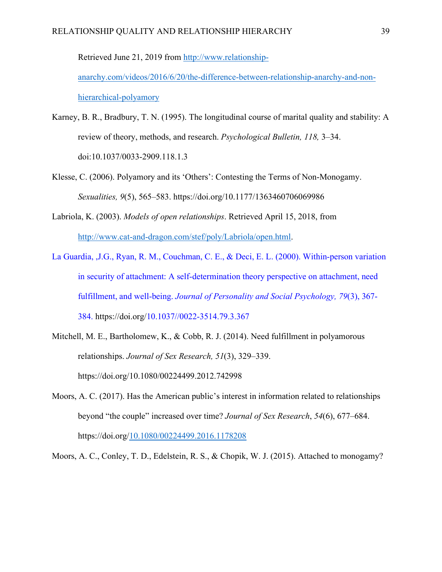Retrieved June 21, 2019 from [http://www.relationship-](http://www.relationship-anarchy.com/videos/2016/6/20/the-difference-between-relationship-anarchy-and-non-hierarchical-polyamory)

[anarchy.com/videos/2016/6/20/the-difference-between-relationship-anarchy-and-non](http://www.relationship-anarchy.com/videos/2016/6/20/the-difference-between-relationship-anarchy-and-non-hierarchical-polyamory)[hierarchical-polyamory](http://www.relationship-anarchy.com/videos/2016/6/20/the-difference-between-relationship-anarchy-and-non-hierarchical-polyamory)

- Karney, B. R., Bradbury, T. N. (1995). The longitudinal course of marital quality and stability: A review of theory, methods, and research. *Psychological Bulletin, 118,* 3–34. doi:10.1037/0033-2909.118.1.3
- Klesse, C. (2006). Polyamory and its 'Others': Contesting the Terms of Non-Monogamy. *Sexualities, 9*(5), 565–583. https://doi.org/10.1177/1363460706069986
- Labriola, K. (2003). *Models of open relationships*. Retrieved April 15, 2018, from [http://www.cat-and-dragon.com/stef/poly/Labriola/open.html.](http://www.cat-and-dragon.com/stef/poly/Labriola/open.html)
- La Guardia, ,J.G., Ryan, R. M., Couchman, C. E., & Deci, E. L. (2000). Within-person variation in security of attachment: A self-determination theory perspective on attachment, need fulfillment, and well-being. *Journal of Personality and Social Psychology, 79*(3), 367- 384. https://doi.org/10.1037//0022-3514.79.3.367
- Mitchell, M. E., Bartholomew, K., & Cobb, R. J. (2014). Need fulfillment in polyamorous relationships. *Journal of Sex Research, 51*(3), 329–339. https://doi.org/10.1080/00224499.2012.742998
- Moors, A. C. (2017). Has the American public's interest in information related to relationships beyond "the couple" increased over time? *Journal of Sex Research*, *54*(6), 677–684. [https://doi.org/10.1080/00224499.2016.1178208](https://doi-org.proxy.lib.csus.edu/10.1080/00224499.2016.1178208)

Moors, A. C., Conley, T. D., Edelstein, R. S., & Chopik, W. J. (2015). Attached to monogamy?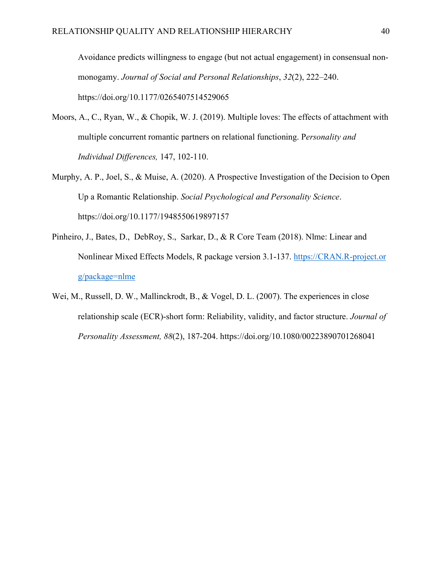Avoidance predicts willingness to engage (but not actual engagement) in consensual nonmonogamy. *Journal of Social and Personal Relationships*, *32*(2), 222–240. https://doi.org/10.1177/0265407514529065

- Moors, A., C., Ryan, W., & Chopik, W. J. (2019). Multiple loves: The effects of attachment with multiple concurrent romantic partners on relational functioning. P*ersonality and Individual Differences,* 147, 102-110.
- Murphy, A. P., Joel, S., & Muise, A. (2020). A Prospective Investigation of the Decision to Open Up a Romantic Relationship. *Social Psychological and Personality Science*. https://doi.org/10.1177/1948550619897157
- Pinheiro, J., Bates, D., DebRoy, S., Sarkar, D., & R Core Team (2018). Nlme: Linear and Nonlinear Mixed Effects Models, R package version 3.1-137. [https://CRAN.R-project.or](https://cran.r-project.org/package=nlme) [g/package=nlme](https://cran.r-project.org/package=nlme)
- Wei, M., Russell, D. W., Mallinckrodt, B., & Vogel, D. L. (2007). The experiences in close relationship scale (ECR)-short form: Reliability, validity, and factor structure. *Journal of Personality Assessment, 88*(2), 187-204. https://doi.org/10.1080/00223890701268041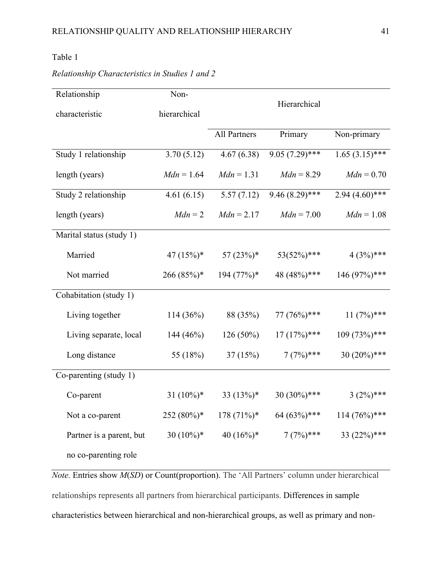### Table 1

#### *Relationship Characteristics in Studies 1 and 2*

| Relationship             | Non-          | Hierarchical        |                  |                  |  |  |  |
|--------------------------|---------------|---------------------|------------------|------------------|--|--|--|
| characteristic           | hierarchical  |                     |                  |                  |  |  |  |
|                          |               | <b>All Partners</b> | Primary          | Non-primary      |  |  |  |
| Study 1 relationship     | 3.70(5.12)    | 4.67(6.38)          | $9.05(7.29)$ *** | $1.65(3.15)$ *** |  |  |  |
| length (years)           | $Mdn = 1.64$  | $Mdn = 1.31$        | $Mdn = 8.29$     | $Mdn = 0.70$     |  |  |  |
| Study 2 relationship     | 4.61(6.15)    | 5.57(7.12)          | $9.46(8.29)$ *** | $2.94(4.60)$ *** |  |  |  |
| length (years)           | $Mdn = 2$     | $Mdn = 2.17$        | $Mdn = 7.00$     | $Mdn = 1.08$     |  |  |  |
| Marital status (study 1) |               |                     |                  |                  |  |  |  |
| Married                  | 47 $(15\%)^*$ | 57 $(23%)^*$        | $53(52\%)$ ***   | $4(3%)***$       |  |  |  |
| Not married              | $266(85%)$ *  | $194 (77%)$ *       | 48 (48%)***      | 146 (97%)***     |  |  |  |
| Cohabitation (study 1)   |               |                     |                  |                  |  |  |  |
| Living together          | 114(36%)      | 88 (35%)            | 77 (76%)***      | $11(7%)$ ***     |  |  |  |
| Living separate, local   | 144 $(46%)$   | $126(50\%)$         | $17(17%)$ ***    | $109(73\%)$ ***  |  |  |  |
| Long distance            | 55 (18%)      | 37(15%)             | $7(7%)***$       | 30 $(20\%)$ ***  |  |  |  |
| Co-parenting (study 1)   |               |                     |                  |                  |  |  |  |
| Co-parent                | 31 $(10\%)$ * | 33 $(13%)$ *        | $30(30\%)$ ***   | $3(2\%)$ ***     |  |  |  |
| Not a co-parent          | 252 (80%)*    | $178(71\%)*$        | 64 (63%)***      | $114 (76\%)$ *** |  |  |  |
| Partner is a parent, but | 30 $(10\%)^*$ | 40 $(16\%)^*$       | $7(7%)***$       | 33 $(22%)$ ***   |  |  |  |
| no co-parenting role     |               |                     |                  |                  |  |  |  |

*Note.* Entries show *M*(*SD*) or Count(proportion). The 'All Partners' column under hierarchical relationships represents all partners from hierarchical participants. Differences in sample characteristics between hierarchical and non-hierarchical groups, as well as primary and non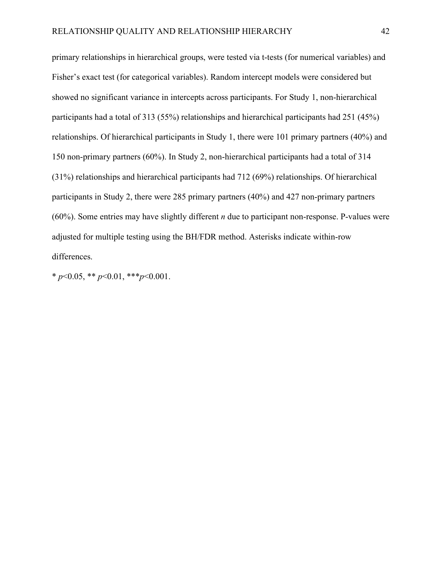primary relationships in hierarchical groups, were tested via t-tests (for numerical variables) and Fisher's exact test (for categorical variables). Random intercept models were considered but showed no significant variance in intercepts across participants. For Study 1, non-hierarchical participants had a total of 313 (55%) relationships and hierarchical participants had 251 (45%) relationships. Of hierarchical participants in Study 1, there were 101 primary partners (40%) and 150 non-primary partners (60%). In Study 2, non-hierarchical participants had a total of 314 (31%) relationships and hierarchical participants had 712 (69%) relationships. Of hierarchical participants in Study 2, there were 285 primary partners (40%) and 427 non-primary partners (60%). Some entries may have slightly different *n* due to participant non-response. P-values were adjusted for multiple testing using the BH/FDR method. Asterisks indicate within-row differences.

\* *p*<0.05, \*\* *p*<0.01, \*\*\**p*<0.001.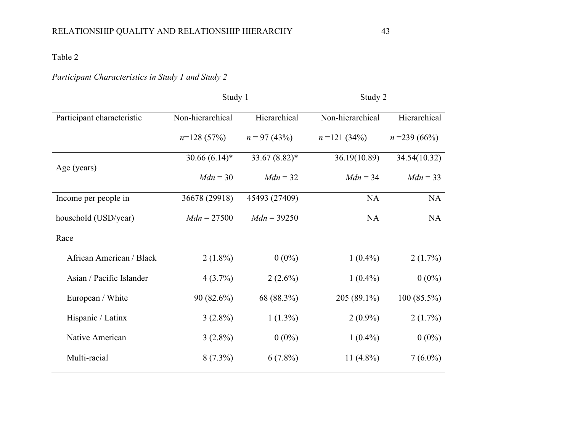### Table 2

## *Participant Characteristics in Study 1 and Study 2*

|                            | Study 1          |                 | Study 2          |                |  |  |
|----------------------------|------------------|-----------------|------------------|----------------|--|--|
| Participant characteristic | Non-hierarchical | Hierarchical    | Non-hierarchical | Hierarchical   |  |  |
|                            | $n=128(57%)$     | $n = 97(43%)$   | $n = 121(34%)$   | $n = 239(66%)$ |  |  |
|                            | $30.66(6.14)$ *  | $33.67(8.82)$ * | 36.19(10.89)     | 34.54(10.32)   |  |  |
| Age (years)                | $Mdn = 30$       | $Mdn = 32$      | $Mdn = 34$       | $Mdn = 33$     |  |  |
| Income per people in       | 36678 (29918)    | 45493 (27409)   | <b>NA</b>        | NA             |  |  |
| household (USD/year)       | $Mdn = 27500$    | $Mdn = 39250$   | NA               | <b>NA</b>      |  |  |
| Race                       |                  |                 |                  |                |  |  |
| African American / Black   | $2(1.8\%)$       | $0(0\%)$        | $1(0.4\%)$       | $2(1.7\%)$     |  |  |
| Asian / Pacific Islander   | $4(3.7\%)$       | $2(2.6\%)$      | $1(0.4\%)$       | $0(0\%)$       |  |  |
| European / White           | 90 (82.6%)       | 68 (88.3%)      | $205(89.1\%)$    | $100(85.5\%)$  |  |  |
| Hispanic / Latinx          | $3(2.8\%)$       | $1(1.3\%)$      | $2(0.9\%)$       | $2(1.7\%)$     |  |  |
| Native American            | $3(2.8\%)$       | $0(0\%)$        | $1(0.4\%)$       | $0(0\%)$       |  |  |
| Multi-racial               | $8(7.3\%)$       | $6(7.8\%)$      | 11 $(4.8\%)$     | $7(6.0\%)$     |  |  |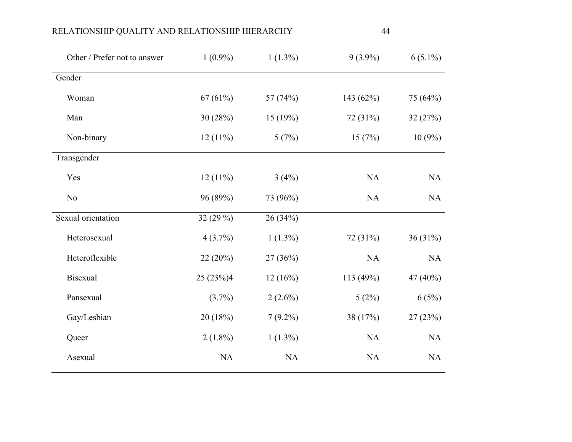| $1(0.9\%)$ | $1(1.3\%)$ | $9(3.9\%)$ | $6(5.1\%)$ |
|------------|------------|------------|------------|
|            |            |            |            |
| 67(61%)    | 57 (74%)   | 143 (62%)  | 75 (64%)   |
| 30 (28%)   | 15(19%)    | 72 (31%)   | 32(27%)    |
| $12(11\%)$ | 5(7%)      | 15(7%)     | $10(9\%)$  |
|            |            |            |            |
| $12(11\%)$ | 3(4%)      | NA         | NA         |
| 96 (89%)   | 73 (96%)   | <b>NA</b>  | NA         |
| 32 (29 %)  | 26 (34%)   |            |            |
| $4(3.7\%)$ | $1(1.3\%)$ | 72 (31%)   | 36(31%)    |
| 22 (20%)   | 27 (36%)   | <b>NA</b>  | NA         |
| 25 (23%)4  | 12(16%)    | 113 (49%)  | 47 (40%)   |
| $(3.7\%)$  | $2(2.6\%)$ | 5(2%)      | 6(5%)      |
| 20 (18%)   | $7(9.2\%)$ | 38 (17%)   | 27(23%)    |
| $2(1.8\%)$ | $1(1.3\%)$ | NA         | NA         |
| <b>NA</b>  | NA         | <b>NA</b>  | NA         |
|            |            |            |            |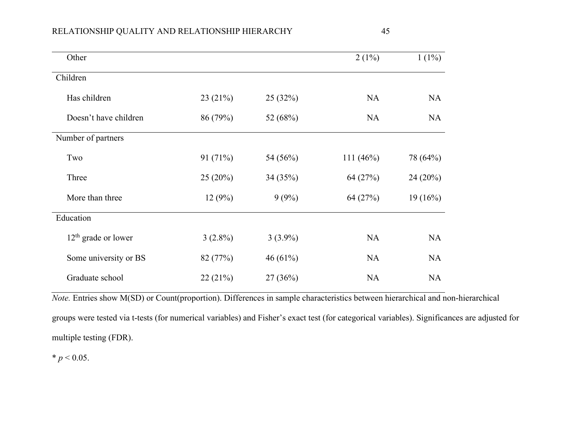| v.                 |
|--------------------|
| I<br>۰.<br>×<br>۰, |

| Other                 |            |            | $2(1\%)$    | $1(1\%)$  |
|-----------------------|------------|------------|-------------|-----------|
| Children              |            |            |             |           |
| Has children          | 23(21%)    | 25(32%)    | <b>NA</b>   | <b>NA</b> |
| Doesn't have children | 86 (79%)   | 52 (68%)   | <b>NA</b>   | <b>NA</b> |
| Number of partners    |            |            |             |           |
| Two                   | 91 (71%)   | 54 (56%)   | 111 $(46%)$ | 78 (64%)  |
| Three                 | 25(20%)    | 34 (35%)   | 64 (27%)    | 24(20%)   |
| More than three       | 12(9%)     | 9(9%)      | 64 (27%)    | 19(16%)   |
| Education             |            |            |             |           |
| $12th$ grade or lower | $3(2.8\%)$ | $3(3.9\%)$ | <b>NA</b>   | <b>NA</b> |
| Some university or BS | 82 (77%)   | 46 $(61%)$ | <b>NA</b>   | <b>NA</b> |
| Graduate school       | 22(21%)    | 27(36%)    | <b>NA</b>   | <b>NA</b> |

*Note.* Entries show M(SD) or Count(proportion). Differences in sample characteristics between hierarchical and non-hierarchical groups were tested via t-tests (for numerical variables) and Fisher's exact test (for categorical variables). Significances are adjusted for multiple testing (FDR).

 $* p < 0.05$ .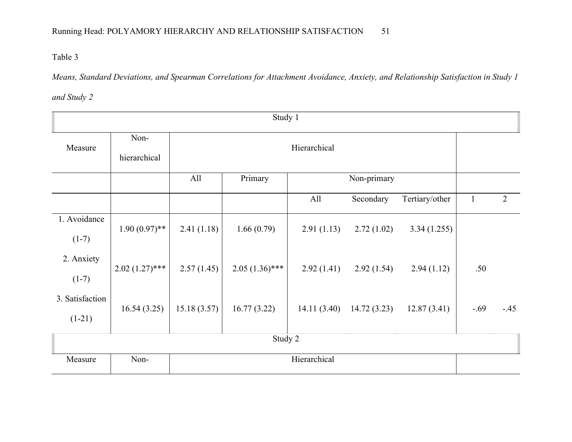Table 3

*Means, Standard Deviations, and Spearman Correlations for Attachment Avoidance, Anxiety, and Relationship Satisfaction in Study 1* 

*and Study 2*

| Study 1                     |                      |             |                  |              |             |                |        |                |
|-----------------------------|----------------------|-------------|------------------|--------------|-------------|----------------|--------|----------------|
| Measure                     | Non-<br>hierarchical |             | Hierarchical     |              |             |                |        |                |
|                             |                      | All         | Primary          |              | Non-primary |                |        |                |
|                             |                      |             |                  | All          | Secondary   | Tertiary/other |        | $\overline{2}$ |
| 1. Avoidance<br>$(1-7)$     | $1.90(0.97)$ **      | 2.41(1.18)  | 1.66(0.79)       | 2.91(1.13)   | 2.72(1.02)  | 3.34(1.255)    |        |                |
| 2. Anxiety<br>$(1-7)$       | $2.02(1.27)$ ***     | 2.57(1.45)  | $2.05(1.36)$ *** | 2.92(1.41)   | 2.92(1.54)  | 2.94(1.12)     | .50    |                |
| 3. Satisfaction<br>$(1-21)$ | 16.54(3.25)          | 15.18(3.57) | 16.77(3.22)      | 14.11(3.40)  | 14.72(3.23) | 12.87(3.41)    | $-.69$ | $-.45$         |
|                             |                      |             | Study 2          |              |             |                |        |                |
| Measure                     | Non-                 |             |                  | Hierarchical |             |                |        |                |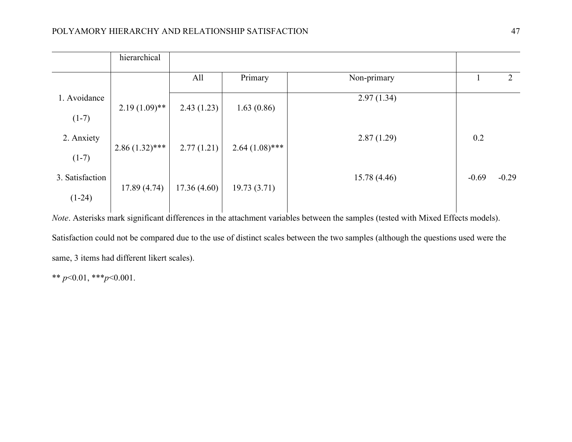|                 | hierarchical     |             |                  |             |         |                |
|-----------------|------------------|-------------|------------------|-------------|---------|----------------|
|                 |                  | All         | Primary          | Non-primary |         | $\overline{2}$ |
| 1. Avoidance    |                  |             |                  | 2.97(1.34)  |         |                |
| $(1-7)$         | $2.19(1.09)$ **  | 2.43(1.23)  | 1.63(0.86)       |             |         |                |
| 2. Anxiety      |                  |             |                  | 2.87(1.29)  | 0.2     |                |
| $(1-7)$         | $2.86(1.32)$ *** | 2.77(1.21)  | $2.64(1.08)$ *** |             |         |                |
| 3. Satisfaction |                  |             |                  | 15.78(4.46) | $-0.69$ | $-0.29$        |
| $(1-24)$        | 17.89(4.74)      | 17.36(4.60) | 19.73(3.71)      |             |         |                |

*Note*. Asterisks mark significant differences in the attachment variables between the samples (tested with Mixed Effects models). Satisfaction could not be compared due to the use of distinct scales between the two samples (although the questions used were the same, 3 items had different likert scales).

\*\*  $p<0.01$ , \*\*\* $p<0.001$ .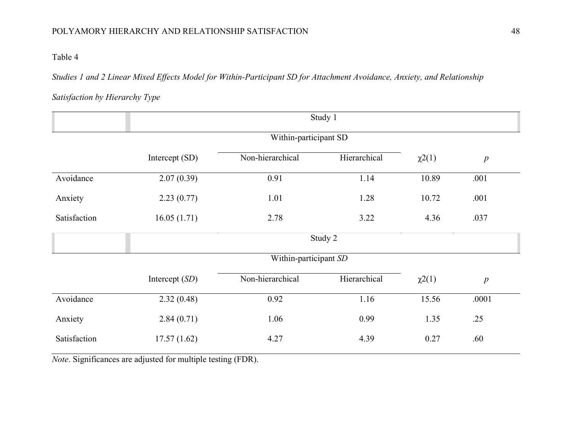### Table 4

*Studies 1 and 2 Linear Mixed Effects Model for Within-Participant SD for Attachment Avoidance, Anxiety, and Relationship* 

*Satisfaction by Hierarchy Type*

|              | Study 1          |                       |              |             |                  |  |  |  |  |  |
|--------------|------------------|-----------------------|--------------|-------------|------------------|--|--|--|--|--|
|              |                  |                       |              |             |                  |  |  |  |  |  |
|              | Intercept (SD)   | Non-hierarchical      | Hierarchical | $\chi^2(1)$ | $\boldsymbol{p}$ |  |  |  |  |  |
| Avoidance    | 2.07(0.39)       | 0.91                  | 1.14         | 10.89       | .001             |  |  |  |  |  |
| Anxiety      | 2.23(0.77)       | 1.01                  | 1.28         | 10.72       | .001             |  |  |  |  |  |
| Satisfaction | 16.05(1.71)      | 2.78                  | 3.22         | 4.36        | .037             |  |  |  |  |  |
|              | Study 2          |                       |              |             |                  |  |  |  |  |  |
|              |                  | Within-participant SD |              |             |                  |  |  |  |  |  |
|              | Intercept $(SD)$ | Non-hierarchical      | Hierarchical | $\chi^2(1)$ | p                |  |  |  |  |  |
| Avoidance    | 2.32(0.48)       | 0.92                  | 1.16         | 15.56       | .0001            |  |  |  |  |  |
| Anxiety      | 2.84(0.71)       | 1.06                  | 0.99         | 1.35        | .25              |  |  |  |  |  |
| Satisfaction | 17.57(1.62)      | 4.27                  | 4.39         | 0.27        | .60              |  |  |  |  |  |

*Note*. Significances are adjusted for multiple testing (FDR).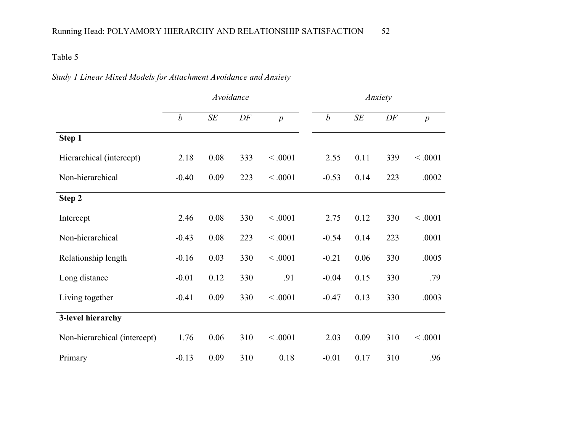### Table 5

|  |  |  | Study 1 Linear Mixed Models for Attachment Avoidance and Anxiety |
|--|--|--|------------------------------------------------------------------|
|  |  |  |                                                                  |

|                              | Avoidance        |      |     |                  | Anxiety          |           |           |                  |
|------------------------------|------------------|------|-----|------------------|------------------|-----------|-----------|------------------|
|                              | $\boldsymbol{b}$ | SE   | DF  | $\boldsymbol{p}$ | $\boldsymbol{b}$ | $\cal SE$ | $\cal DF$ | $\boldsymbol{p}$ |
| Step 1                       |                  |      |     |                  |                  |           |           |                  |
| Hierarchical (intercept)     | 2.18             | 0.08 | 333 | < .0001          | 2.55             | 0.11      | 339       | < .0001          |
| Non-hierarchical             | $-0.40$          | 0.09 | 223 | < .0001          | $-0.53$          | 0.14      | 223       | .0002            |
| Step 2                       |                  |      |     |                  |                  |           |           |                  |
| Intercept                    | 2.46             | 0.08 | 330 | < .0001          | 2.75             | 0.12      | 330       | < .0001          |
| Non-hierarchical             | $-0.43$          | 0.08 | 223 | < .0001          | $-0.54$          | 0.14      | 223       | .0001            |
| Relationship length          | $-0.16$          | 0.03 | 330 | < .0001          | $-0.21$          | 0.06      | 330       | .0005            |
| Long distance                | $-0.01$          | 0.12 | 330 | .91              | $-0.04$          | 0.15      | 330       | .79              |
| Living together              | $-0.41$          | 0.09 | 330 | < .0001          | $-0.47$          | 0.13      | 330       | .0003            |
| 3-level hierarchy            |                  |      |     |                  |                  |           |           |                  |
| Non-hierarchical (intercept) | 1.76             | 0.06 | 310 | < .0001          | 2.03             | 0.09      | 310       | < .0001          |
| Primary                      | $-0.13$          | 0.09 | 310 | 0.18             | $-0.01$          | 0.17      | 310       | .96              |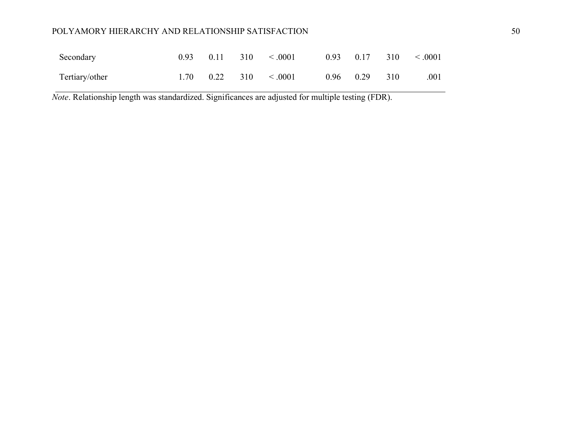### POLYAMORY HIERARCHY AND RELATIONSHIP SATISFACTION 50

| Secondary      |  | $0.93$ $0.11$ $310$ $< .0001$    |                     | $0.93$ $0.17$ $310$ $< .0001$ |
|----------------|--|----------------------------------|---------------------|-------------------------------|
| Tertiary/other |  | $1.70 \t 0.22 \t 310 \t < .0001$ | $0.96$ $0.29$ $310$ | .001                          |

*Note*. Relationship length was standardized. Significances are adjusted for multiple testing (FDR).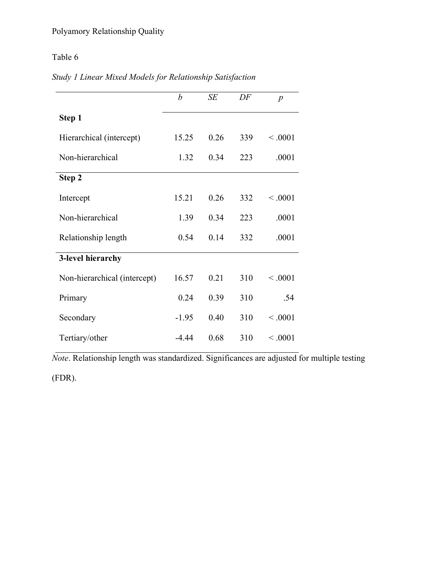## Table 6

|  | Study 1 Linear Mixed Models for Relationship Satisfaction |  |  |  |
|--|-----------------------------------------------------------|--|--|--|
|--|-----------------------------------------------------------|--|--|--|

|                              | $\boldsymbol{b}$ | SE   | DF  | $\boldsymbol{p}$ |
|------------------------------|------------------|------|-----|------------------|
| Step 1                       |                  |      |     |                  |
| Hierarchical (intercept)     | 15.25            | 0.26 | 339 | < .0001          |
| Non-hierarchical             | 1.32             | 0.34 | 223 | .0001            |
| Step 2                       |                  |      |     |                  |
| Intercept                    | 15.21            | 0.26 | 332 | < 0.001          |
| Non-hierarchical             | 1.39             | 0.34 | 223 | .0001            |
| Relationship length          | 0.54             | 0.14 | 332 | .0001            |
| 3-level hierarchy            |                  |      |     |                  |
| Non-hierarchical (intercept) | 16.57            | 0.21 | 310 | < 0.001          |
| Primary                      | 0.24             | 0.39 | 310 | .54              |
| Secondary                    | $-1.95$          | 0.40 | 310 | < 0.001          |
| Tertiary/other               | -4.44            | 0.68 | 310 | < 0.001          |

*Note*. Relationship length was standardized. Significances are adjusted for multiple testing

(FDR).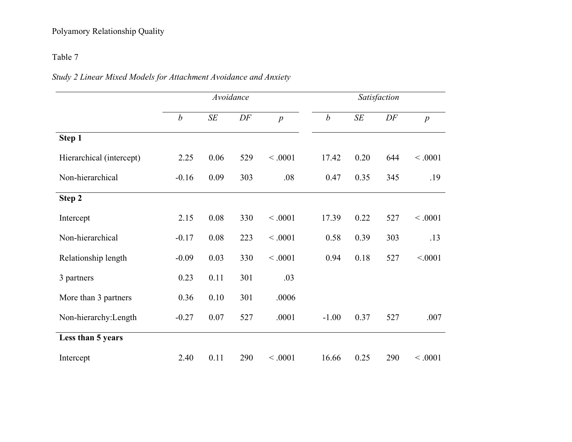## Polyamory Relationship Quality

## Table 7

|  |  |  | Study 2 Linear Mixed Models for Attachment Avoidance and Anxiety |
|--|--|--|------------------------------------------------------------------|
|  |  |  |                                                                  |

|                          | Avoidance        |           |     |                  | Satisfaction     |           |     |                  |
|--------------------------|------------------|-----------|-----|------------------|------------------|-----------|-----|------------------|
|                          | $\boldsymbol{b}$ | $\cal SE$ | DF  | $\boldsymbol{p}$ | $\boldsymbol{b}$ | $\cal SE$ | DF  | $\boldsymbol{p}$ |
| Step 1                   |                  |           |     |                  |                  |           |     |                  |
| Hierarchical (intercept) | 2.25             | 0.06      | 529 | < .0001          | 17.42            | 0.20      | 644 | < .0001          |
| Non-hierarchical         | $-0.16$          | 0.09      | 303 | .08              | 0.47             | 0.35      | 345 | .19              |
| Step 2                   |                  |           |     |                  |                  |           |     |                  |
| Intercept                | 2.15             | 0.08      | 330 | < .0001          | 17.39            | 0.22      | 527 | < .0001          |
| Non-hierarchical         | $-0.17$          | 0.08      | 223 | < .0001          | 0.58             | 0.39      | 303 | .13              |
| Relationship length      | $-0.09$          | 0.03      | 330 | < .0001          | 0.94             | 0.18      | 527 | < .0001          |
| 3 partners               | 0.23             | 0.11      | 301 | .03              |                  |           |     |                  |
| More than 3 partners     | 0.36             | 0.10      | 301 | .0006            |                  |           |     |                  |
| Non-hierarchy: Length    | $-0.27$          | 0.07      | 527 | .0001            | $-1.00$          | 0.37      | 527 | .007             |
| Less than 5 years        |                  |           |     |                  |                  |           |     |                  |
| Intercept                | 2.40             | 0.11      | 290 | < .0001          | 16.66            | 0.25      | 290 | < .0001          |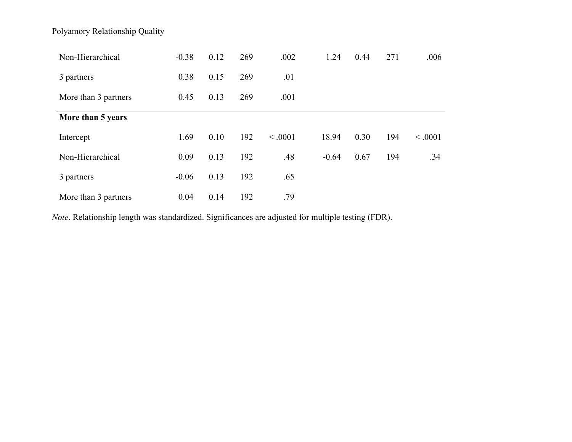Polyamory Relationship Quality

| Non-Hierarchical     | $-0.38$ | 0.12 | 269 | .002    | 1.24    | 0.44 | 271 | .006    |
|----------------------|---------|------|-----|---------|---------|------|-----|---------|
| 3 partners           | 0.38    | 0.15 | 269 | .01     |         |      |     |         |
| More than 3 partners | 0.45    | 0.13 | 269 | .001    |         |      |     |         |
| More than 5 years    |         |      |     |         |         |      |     |         |
| Intercept            | 1.69    | 0.10 | 192 | < 0.001 | 18.94   | 0.30 | 194 | < 0.001 |
| Non-Hierarchical     | 0.09    | 0.13 | 192 | .48     | $-0.64$ | 0.67 | 194 | .34     |
| 3 partners           | $-0.06$ | 0.13 | 192 | .65     |         |      |     |         |
| More than 3 partners | 0.04    | 0.14 | 192 | .79     |         |      |     |         |

*Note*. Relationship length was standardized. Significances are adjusted for multiple testing (FDR).